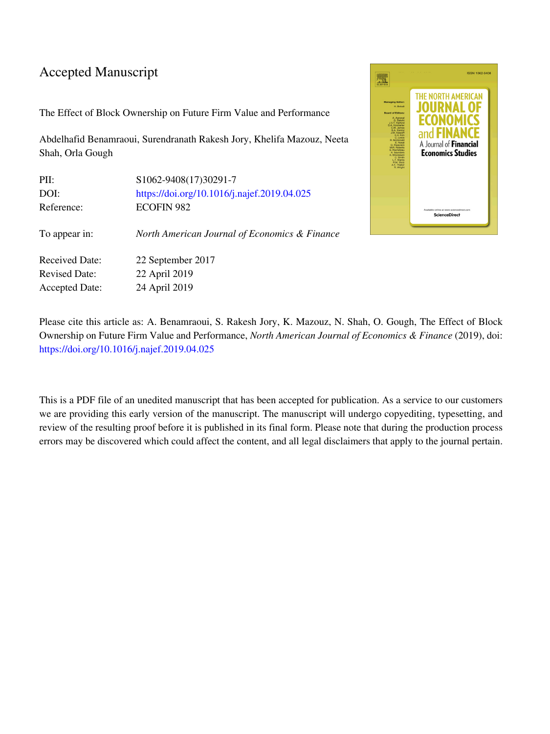### Accepted Manuscript

The Effect of Block Ownership on Future Firm Value and Performance

Abdelhafid Benamraoui, Surendranath Rakesh Jory, Khelifa Mazouz, Neeta Shah, Orla Gough

| PII:                  | S1062-9408(17)30291-7                         |
|-----------------------|-----------------------------------------------|
| DOI:                  | https://doi.org/10.1016/j.najef.2019.04.025   |
| Reference:            | <b>ECOFIN 982</b>                             |
| To appear in:         | North American Journal of Economics & Finance |
| <b>Received Date:</b> | 22 September 2017                             |
| <b>Revised Date:</b>  | 22 April 2019                                 |
| <b>Accepted Date:</b> | 24 April 2019                                 |



Please cite this article as: A. Benamraoui, S. Rakesh Jory, K. Mazouz, N. Shah, O. Gough, The Effect of Block Ownership on Future Firm Value and Performance, *North American Journal of Economics & Finance* (2019), doi: <https://doi.org/10.1016/j.najef.2019.04.025>

This is a PDF file of an unedited manuscript that has been accepted for publication. As a service to our customers we are providing this early version of the manuscript. The manuscript will undergo copyediting, typesetting, and review of the resulting proof before it is published in its final form. Please note that during the production process errors may be discovered which could affect the content, and all legal disclaimers that apply to the journal pertain.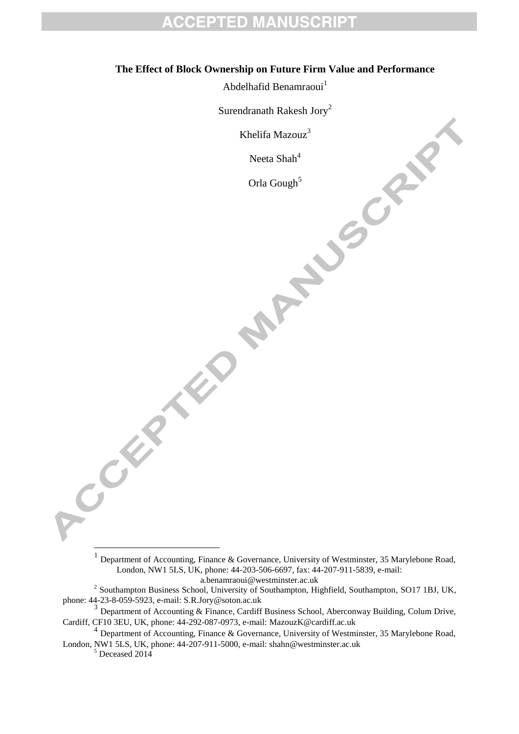#### **The Effect of Block Ownership on Future Firm Value and Performance**

Abdelhafid Benamraoui<sup>1</sup>

Surendranath Rakesh Jory<sup>2</sup>

Khelifa Mazouz<sup>3</sup>

Neeta  $Shah^4$ 

Orla Gough<sup>5</sup>

a.benamraoui@westminster.ac.uk

 $5$  Deceased 2014

CRAN RO

<sup>&</sup>lt;sup>1</sup> Department of Accounting, Finance & Governance, University of Westminster, 35 Marylebone Road, London, NW1 5LS, UK, phone: 44-203-506-6697, fax: 44-207-911-5839, e-mail:

<sup>&</sup>lt;sup>2</sup> Southampton Business School, University of Southampton, Highfield, Southampton, SO17 1BJ, UK, phone: 44-23-8-059-5923, e-mail: S.R.Jory@soton.ac.uk

<sup>&</sup>lt;sup>3</sup> Department of Accounting & Finance, Cardiff Business School, Aberconway Building, Colum Drive, Cardiff, CF10 3EU, UK, phone: 44-292-087-0973, e-mail: MazouzK@cardiff.ac.uk

<sup>&</sup>lt;sup>4</sup> Department of Accounting, Finance & Governance, University of Westminster, 35 Marylebone Road, London, NW1 5LS, UK, phone: 44-207-911-5000, e-mail: shahn@westminster.ac.uk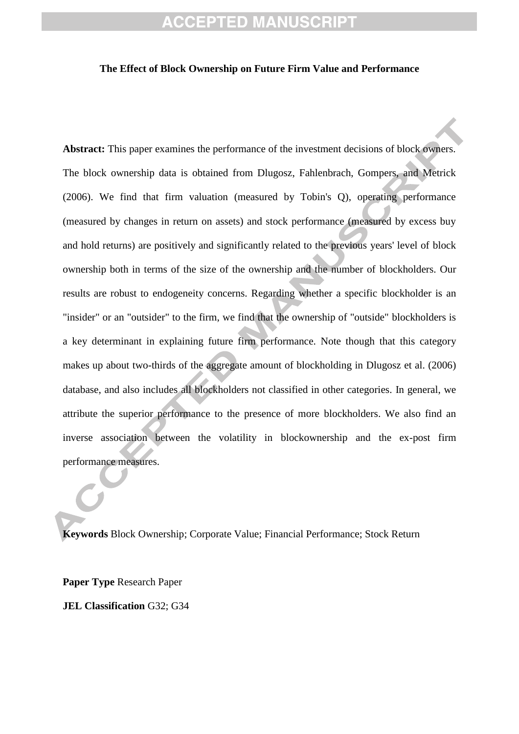#### **The Effect of Block Ownership on Future Firm Value and Performance**

**Abstract:** This paper examines the performance of the investment decisions of block owners. The block ownership data is obtained from Dlugosz, Fahlenbrach, Gompers, and Metrick (2006). We find that firm valuation (measured by Tobin's Q), operating performance (measured by changes in return on assets) and stock performance (measured by excess buy and hold returns) are positively and significantly related to the previous years' level of block ownership both in terms of the size of the ownership and the number of blockholders. Our results are robust to endogeneity concerns. Regarding whether a specific blockholder is an "insider" or an "outsider" to the firm, we find that the ownership of "outside" blockholders is a key determinant in explaining future firm performance. Note though that this category makes up about two-thirds of the aggregate amount of blockholding in Dlugosz et al. (2006) database, and also includes all blockholders not classified in other categories. In general, we attribute the superior performance to the presence of more blockholders. We also find an inverse association between the volatility in blockownership and the ex-post firm performance measures.

**Keywords** Block Ownership; Corporate Value; Financial Performance; Stock Return

**Paper Type** Research Paper **JEL Classification** G32; G34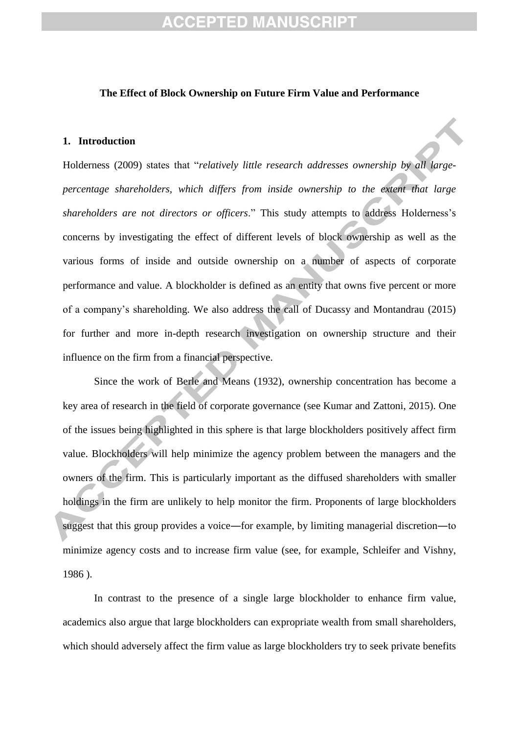#### **The Effect of Block Ownership on Future Firm Value and Performance**

#### **1. Introduction**

[Holderness \(2009\)](#page-24-0) states that "*relatively little research addresses ownership by all largepercentage shareholders, which differs from inside ownership to the extent that large shareholders are not directors or officers*." This study attempts to address Holderness's concerns by investigating the effect of different levels of block ownership as well as the various forms of inside and outside ownership on a number of aspects of corporate performance and value. A blockholder is defined as an entity that owns five percent or more of a company's shareholding. We also address the call of Ducassy and Montandrau (2015) for further and more in-depth research investigation on ownership structure and their influence on the firm from a financial perspective.

Since the work of [Berle and Means \(1932\),](#page-23-0) ownership concentration has become a key area of research in the field of corporate governance (see [Kumar and Zattoni, 2015\)](#page-25-0). One of the issues being highlighted in this sphere is that large blockholders positively affect firm value. Blockholders will help minimize the agency problem between the managers and the owners of the firm. This is particularly important as the diffused shareholders with smaller holdings in the firm are unlikely to help monitor the firm. Proponents of large blockholders suggest that this group provides a voice―for example, by limiting managerial discretion―to minimize agency costs and to increase firm value [\(see, for example, Schleifer and Vishny,](#page-25-1)  [1986](#page-25-1) ).

In contrast to the presence of a single large blockholder to enhance firm value, academics also argue that large blockholders can expropriate wealth from small shareholders, which should adversely affect the firm value as large blockholders try to seek private benefits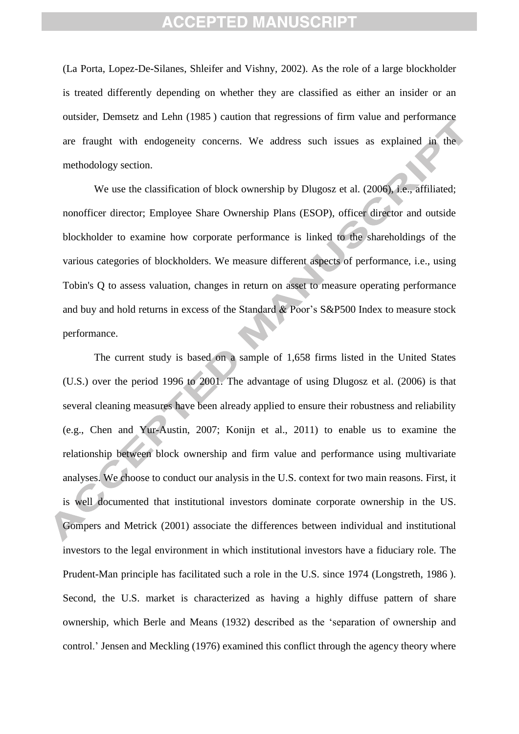[\(La Porta, Lopez-De-Silanes, Shleifer and Vishny, 2002\)](#page-25-2). As the role of a large blockholder is treated differently depending on whether they are classified as either an insider or an outsider, [Demsetz and Lehn \(1985](#page-23-1) ) caution that regressions of firm value and performance are fraught with endogeneity concerns. We address such issues as explained in the methodology section.

We use the classification of block ownership by Dlugosz et al. (2006), i.e., affiliated; nonofficer director; Employee Share Ownership Plans (ESOP), officer director and outside blockholder to examine how corporate performance is linked to the shareholdings of the various categories of blockholders. We measure different aspects of performance, i.e., using Tobin's Q to assess valuation, changes in return on asset to measure operating performance and buy and hold returns in excess of the Standard & Poor's S&P500 Index to measure stock performance.

The current study is based on a sample of 1,658 firms listed in the United States (U.S.) over the period 1996 to 2001. The advantage of using Dlugosz et al. (2006) is that several cleaning measures have been already applied to ensure their robustness and reliability (e.g., Chen and Yur-Austin, 2007; Konijn et al., 2011) to enable us to examine the relationship between block ownership and firm value and performance using multivariate analyses. We choose to conduct our analysis in the U.S. context for two main reasons. First, it is well documented that institutional investors dominate corporate ownership in the US. [Gompers and Metrick \(2001\)](#page-24-1) associate the differences between individual and institutional investors to the legal environment in which institutional investors have a fiduciary role. The Prudent-Man principle has facilitated such a role in the U.S. since 1974 [\(Longstreth, 1986](#page-25-3) ). Second, the U.S. market is characterized as having a highly diffuse pattern of share ownership, which [Berle and Means \(1932\)](#page-23-0) described as the 'separation of ownership and control.' [Jensen and Meckling \(1976\)](#page-24-2) examined this conflict through the agency theory where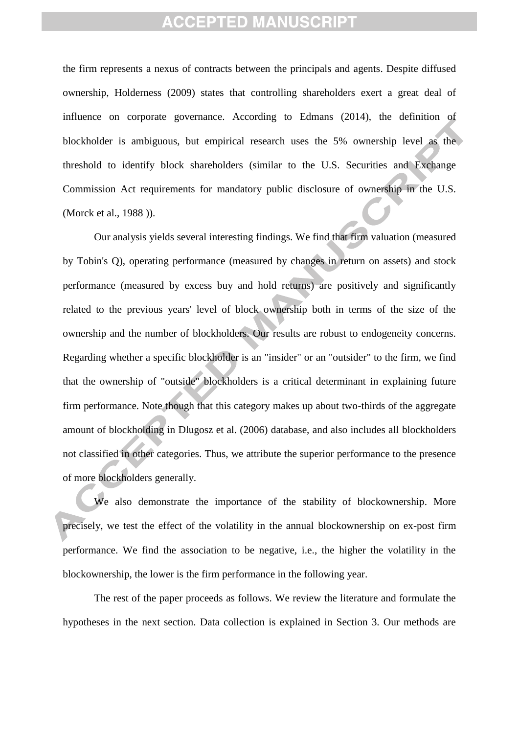the firm represents a nexus of contracts between the principals and agents. Despite diffused ownership, [Holderness \(2009\)](#page-24-0) states that controlling shareholders exert a great deal of influence on corporate governance. According to [Edmans \(2014\)](#page-24-3), the definition of blockholder is ambiguous, but empirical research uses the 5% ownership level as the threshold to identify block shareholders (similar to the U.S. Securities and Exchange Commission Act requirements for mandatory public disclosure of ownership in the U.S. [\(Morck](#page-25-4) et al., 1988 )).

Our analysis yields several interesting findings. We find that firm valuation (measured by Tobin's Q), operating performance (measured by changes in return on assets) and stock performance (measured by excess buy and hold returns) are positively and significantly related to the previous years' level of block ownership both in terms of the size of the ownership and the number of blockholders. Our results are robust to endogeneity concerns. Regarding whether a specific blockholder is an "insider" or an "outsider" to the firm, we find that the ownership of "outside" blockholders is a critical determinant in explaining future firm performance. Note though that this category makes up about two-thirds of the aggregate amount of blockholding in Dlugosz et al. (2006) database, and also includes all blockholders not classified in other categories. Thus, we attribute the superior performance to the presence of more blockholders generally.

We also demonstrate the importance of the stability of blockownership. More precisely, we test the effect of the volatility in the annual blockownership on ex-post firm performance. We find the association to be negative, i.e., the higher the volatility in the blockownership, the lower is the firm performance in the following year.

The rest of the paper proceeds as follows. We review the literature and formulate the hypotheses in the next section. Data collection is explained in Section 3. Our methods are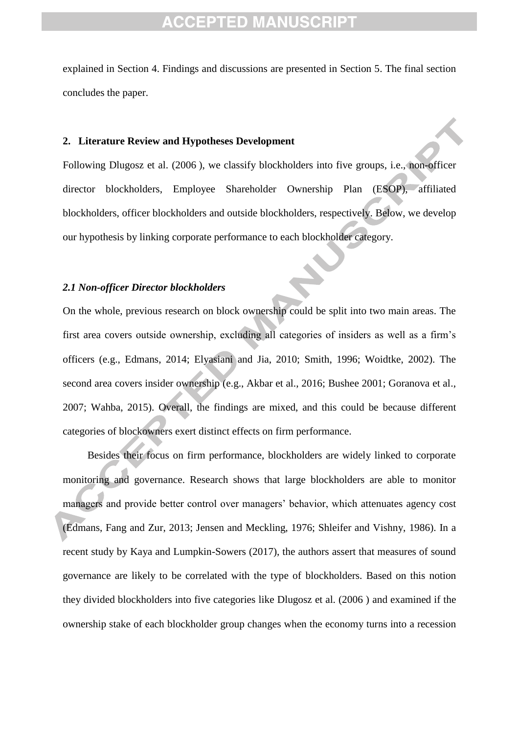explained in Section 4. Findings and discussions are presented in Section 5. The final section concludes the paper.

#### **2. Literature Review and Hypotheses Development**

Following [Dlugosz](#page-23-2) et al. (2006 ), we classify blockholders into five groups, i.e., non-officer director blockholders, Employee Shareholder Ownership Plan (ESOP), affiliated blockholders, officer blockholders and outside blockholders, respectively. Below, we develop our hypothesis by linking corporate performance to each blockholder category.

#### *2.1 Non-officer Director blockholders*

On the whole, previous research on block ownership could be split into two main areas. The first area covers outside ownership, excluding all categories of insiders as well as a firm's officers (e.g., Edmans, 2014; Elyasiani and Jia, 2010; Smith, 1996; Woidtke, 2002). The second area covers insider ownership (e.g., Akbar et al., 2016; Bushee 2001; Goranova et al., 2007; Wahba, 2015). Overall, the findings are mixed, and this could be because different categories of blockowners exert distinct effects on firm performance.

Besides their focus on firm performance, blockholders are widely linked to corporate monitoring and governance. Research shows that large blockholders are able to monitor managers and provide better control over managers' behavior, which attenuates agency cost (Edmans, Fang and Zur, 2013; Jensen and Meckling, 1976; Shleifer and Vishny, 1986). In a recent study by Kaya and Lumpkin-Sowers (2017), the authors assert that measures of sound governance are likely to be correlated with the type of blockholders. Based on this notion they divided blockholders into five categories like Dlugosz et al. (2006 ) and examined if the ownership stake of each blockholder group changes when the economy turns into a recession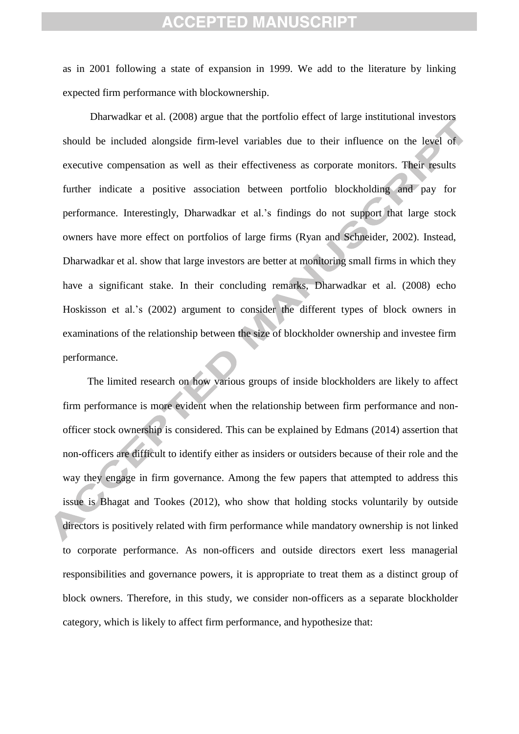as in 2001 following a state of expansion in 1999. We add to the literature by linking expected firm performance with blockownership.

[Dharwadkar](#page-23-3) et al. (2008) argue that the portfolio effect of large institutional investors should be included alongside firm-level variables due to their influence on the level of executive compensation as well as their effectiveness as corporate monitors. Their results further indicate a positive association between portfolio blockholding and pay for performance. Interestingly, [Dharwadkar et al.'s](#page-23-3) findings do not support that large stock owners have more effect on portfolios of large firms (Ryan and Schneider, 2002). Instead, [Dharwadkar et al. s](#page-23-3)how that large investors are better at monitoring small firms in which they have a significant stake. In their concluding remarks, [Dharwadkar et al. \(2008\)](#page-23-3) echo [Hoskisson](#page-24-4) et al.'s (2002) argument to consider the different types of block owners in examinations of the relationship between the size of blockholder ownership and investee firm performance.

The limited research on how various groups of inside blockholders are likely to affect firm performance is more evident when the relationship between firm performance and nonofficer stock ownership is considered. This can be explained by [Edmans \(2014\)](#page-24-3) assertion that non-officers are difficult to identify either as insiders or outsiders because of their role and the way they engage in firm governance. Among the few papers that attempted to address this issue is [Bhagat and Tookes \(2012\)](#page-23-4), who show that holding stocks voluntarily by outside directors is positively related with firm performance while mandatory ownership is not linked to corporate performance. As non-officers and outside directors exert less managerial responsibilities and governance powers, it is appropriate to treat them as a distinct group of block owners. Therefore, in this study, we consider non-officers as a separate blockholder category, which is likely to affect firm performance, and hypothesize that: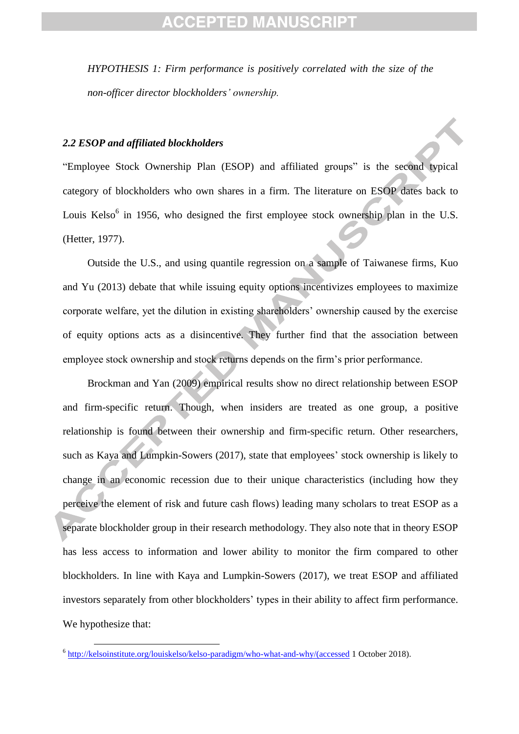*HYPOTHESIS 1: Firm performance is positively correlated with the size of the non-officer director blockholders' ownership.* 

#### *2.2 ESOP and affiliated blockholders*

"Employee Stock Ownership Plan (ESOP) and affiliated groups" is the second typical category of blockholders who own shares in a firm. The literature on ESOP dates back to Louis Kelso $<sup>6</sup>$  in 1956, who designed the first employee stock ownership plan in the U.S.</sup> [\(Hetter, 1977\)](#page-24-5).

Outside the U.S., and using quantile regression on a sample of Taiwanese firms, [Kuo](#page-24-6)  [and Yu \(2013\)](#page-24-6) debate that while issuing equity options incentivizes employees to maximize corporate welfare, yet the dilution in existing shareholders' ownership caused by the exercise of equity options acts as a disincentive. They further find that the association between employee stock ownership and stock returns depends on the firm's prior performance.

[Brockman and Yan \(2009\)](#page-23-5) empirical results show no direct relationship between ESOP and firm-specific return. Though, when insiders are treated as one group, a positive relationship is found between their ownership and firm-specific return. Other researchers, such as [Kaya and Lumpkin-Sowers \(2017\)](#page-24-7), state that employees' stock ownership is likely to change in an economic recession due to their unique characteristics (including how they perceive the element of risk and future cash flows) leading many scholars to treat ESOP as a separate blockholder group in their research methodology. They also note that in theory ESOP has less access to information and lower ability to monitor the firm compared to other blockholders. In line with Kaya and Lumpkin-Sowers (2017), we treat ESOP and affiliated investors separately from other blockholders' types in their ability to affect firm performance. We hypothesize that:

1

<sup>&</sup>lt;sup>6</sup> [http://kelsoinstitute.org/louiskelso/kelso-paradigm/who-what-and-why/\(accessed](http://kelsoinstitute.org/louiskelso/kelso-paradigm/who-what-and-why/(accessed) 1 October 2018).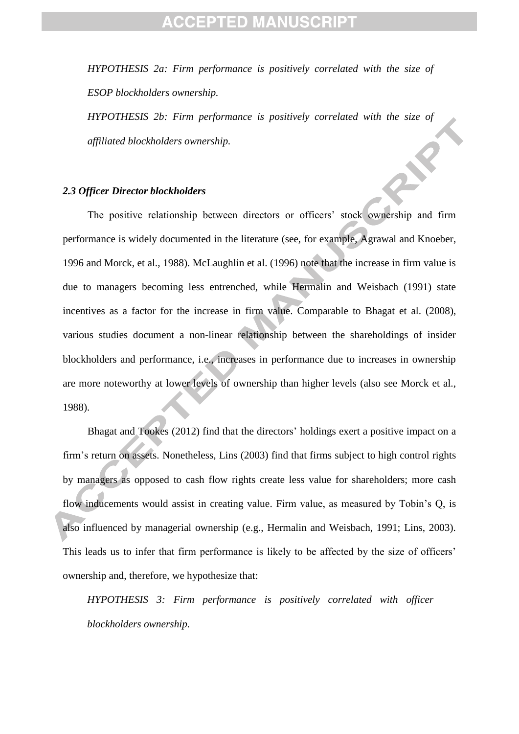*HYPOTHESIS 2a: Firm performance is positively correlated with the size of ESOP blockholders ownership.* 

*HYPOTHESIS 2b: Firm performance is positively correlated with the size of affiliated blockholders ownership.*

#### *2.3 Officer Director blockholders*

The positive relationship between directors or officers' stock ownership and firm performance is widely documented in the literature (see, for example, Agrawal and Knoeber, 1996 and Morck, et al., 1988). McLaughlin et al. (1996) note that the increase in firm value is due to managers becoming less entrenched, while Hermalin and Weisbach (1991) state incentives as a factor for the increase in firm value. Comparable to Bhagat et al. (2008), various studies document a non-linear relationship between the shareholdings of insider blockholders and performance, i.e., increases in performance due to increases in ownership are more noteworthy at lower levels of ownership than higher levels (also see Morck et al., 1988).

Bhagat and Tookes (2012) find that the directors' holdings exert a positive impact on a firm's return on assets. Nonetheless, Lins (2003) find that firms subject to high control rights by managers as opposed to cash flow rights create less value for shareholders; more cash flow inducements would assist in creating value. Firm value, as measured by Tobin's Q, is also influenced by managerial ownership (e.g., Hermalin and Weisbach, 1991; Lins, 2003). This leads us to infer that firm performance is likely to be affected by the size of officers' ownership and, therefore, we hypothesize that:

*HYPOTHESIS 3: Firm performance is positively correlated with officer blockholders ownership.*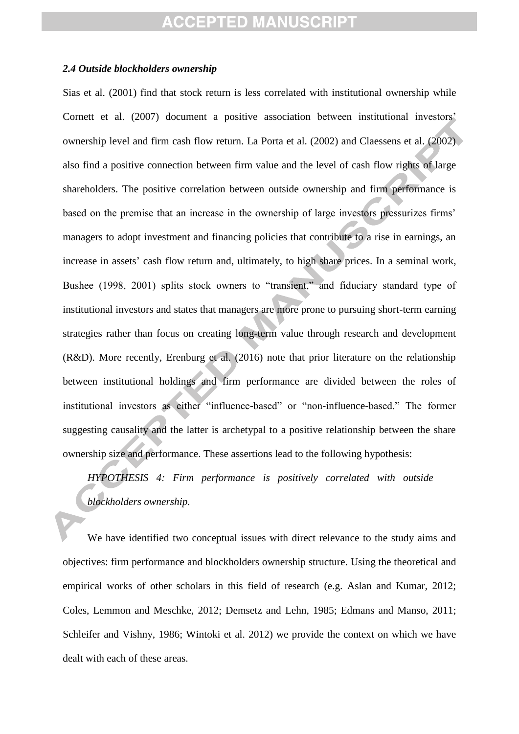#### *2.4 Outside blockholders ownership*

Sias et al. (2001) find that stock return is less correlated with institutional ownership while Cornett et al. (2007) document a positive association between institutional investors' ownership level and firm cash flow return. La Porta et al. (2002) and Claessens et al. (2002) also find a positive connection between firm value and the level of cash flow rights of large shareholders. The positive correlation between outside ownership and firm performance is based on the premise that an increase in the ownership of large investors pressurizes firms' managers to adopt investment and financing policies that contribute to a rise in earnings, an increase in assets' cash flow return and, ultimately, to high share prices. In a seminal work, Bushee (1998, 2001) splits stock owners to "transient," and fiduciary standard type of institutional investors and states that managers are more prone to pursuing short-term earning strategies rather than focus on creating long-term value through research and development (R&D). More recently, Erenburg et al. (2016) note that prior literature on the relationship between institutional holdings and firm performance are divided between the roles of institutional investors as either "influence-based" or "non-influence-based." The former suggesting causality and the latter is archetypal to a positive relationship between the share ownership size and performance. These assertions lead to the following hypothesis:

*HYPOTHESIS 4: Firm performance is positively correlated with outside blockholders ownership.*

We have identified two conceptual issues with direct relevance to the study aims and objectives: firm performance and blockholders ownership structure. Using the theoretical and empirical works of other scholars in this field of research (e.g. [Aslan and Kumar, 2012;](#page-23-6) [Coles, Lemmon and Meschke, 2012;](#page-23-7) [Demsetz and Lehn, 1985;](#page-23-8) [Edmans and Manso, 2011;](#page-24-8) [Schleifer and Vishny, 1986;](#page-25-1) [Wintoki](#page-25-5) et al. 2012) we provide the context on which we have dealt with each of these areas.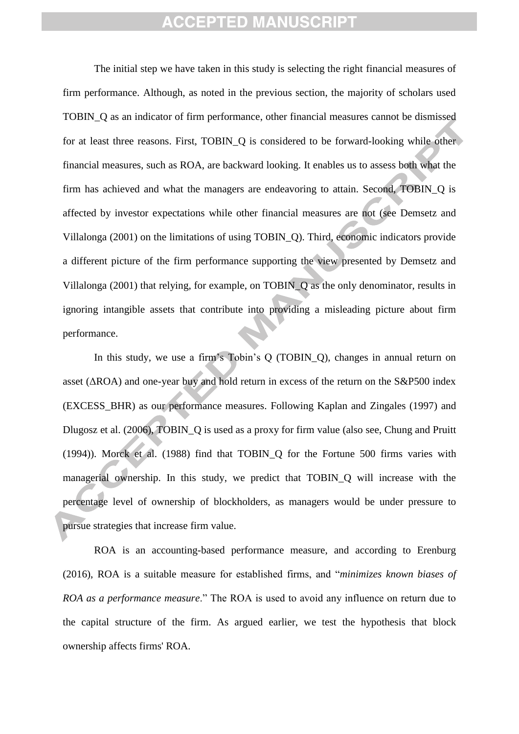The initial step we have taken in this study is selecting the right financial measures of firm performance. Although, as noted in the previous section, the majority of scholars used TOBIN\_Q as an indicator of firm performance, other financial measures cannot be dismissed for at least three reasons. First, TOBIN Q is considered to be forward-looking while other financial measures, such as ROA, are backward looking. It enables us to assess both what the firm has achieved and what the managers are endeavoring to attain. Second, TOBIN\_Q is affected by investor expectations while other financial measures are not (see Demsetz and Villalonga (2001) on the limitations of using TOBIN\_Q). Third, economic indicators provide a different picture of the firm performance supporting the view presented by Demsetz and Villalonga (2001) that relying, for example, on TOBIN\_Q as the only denominator, results in ignoring intangible assets that contribute into providing a misleading picture about firm performance.

In this study, we use a firm's Tobin's Q (TOBIN\_Q), changes in annual return on asset (ΔROA) and one-year buy and hold return in excess of the return on the S&P500 index (EXCESS\_BHR) as our performance measures. Following [Kaplan and Zingales \(1997\)](#page-24-6) and [Dlugosz](#page-24-3) et al. (2006), TOBIN\_Q is used as a proxy for firm value (also see, [Chung and](#page-23-7) Pruitt (1994)). Morck et al. (1988) find that TOBIN\_Q for the Fortune 500 firms varies with managerial ownership. In this study, we predict that TOBIN\_Q will increase with the percentage level of ownership of blockholders, as managers would be under pressure to pursue strategies that increase firm value.

ROA is an accounting-based performance measure, and according to Erenburg (2016), ROA is a suitable measure for established firms, and "*minimizes known biases of ROA as a performance measure*." The ROA is used to avoid any influence on return due to the capital structure of the firm. As argued earlier, we test the hypothesis that block ownership affects firms' ROA.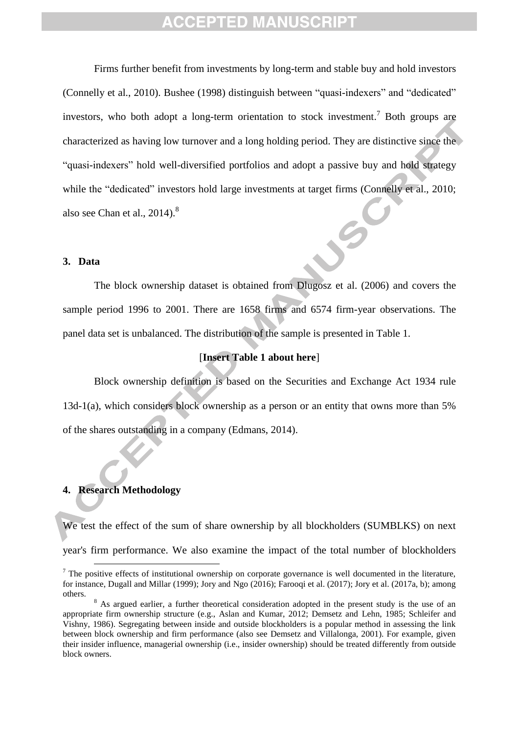Firms further benefit from investments by long-term and stable buy and hold investors (Connelly et al., 2010). Bushee (1998) distinguish between "quasi-indexers" and "dedicated" investors, who both adopt a long-term orientation to stock investment.<sup>7</sup> Both groups are characterized as having low turnover and a long holding period. They are distinctive since the "quasi-indexers" hold well-diversified portfolios and adopt a passive buy and hold strategy while the "dedicated" investors hold large investments at target firms (Connelly et al., 2010; also see Chan et al.,  $2014$ <sup>8</sup>.

#### **3. Data**

The block ownership dataset is obtained from Dlugosz et al. (2006) and covers the sample period 1996 to 2001. There are 1658 firms and 6574 firm-year observations. The panel data set is unbalanced. The distribution of the sample is presented in Table 1.

#### [**Insert Table 1 about here**]

Block ownership definition is based on the Securities and Exchange Act 1934 rule 13d-1(a), which considers block ownership as a person or an entity that owns more than 5% of the shares outstanding in a company (Edmans, 2014).

#### **4. Research Methodology**

1

We test the effect of the sum of share ownership by all blockholders (SUMBLKS) on next year's firm performance. We also examine the impact of the total number of blockholders

 $<sup>7</sup>$  The positive effects of institutional ownership on corporate governance is well documented in the literature,</sup> for instance, Dugall and Millar (1999); Jory and Ngo (2016); Farooqi et al. (2017); Jory et al. (2017a, b); among others.

<sup>&</sup>lt;sup>8</sup> As argued earlier, a further theoretical consideration adopted in the present study is the use of an appropriate firm ownership structure (e.g., Aslan and Kumar, 2012; Demsetz and Lehn, 1985; Schleifer and Vishny, 1986). Segregating between inside and outside blockholders is a popular method in assessing the link between block ownership and firm performance (also see Demsetz and Villalonga, 2001). For example, given their insider influence, managerial ownership (i.e., insider ownership) should be treated differently from outside block owners.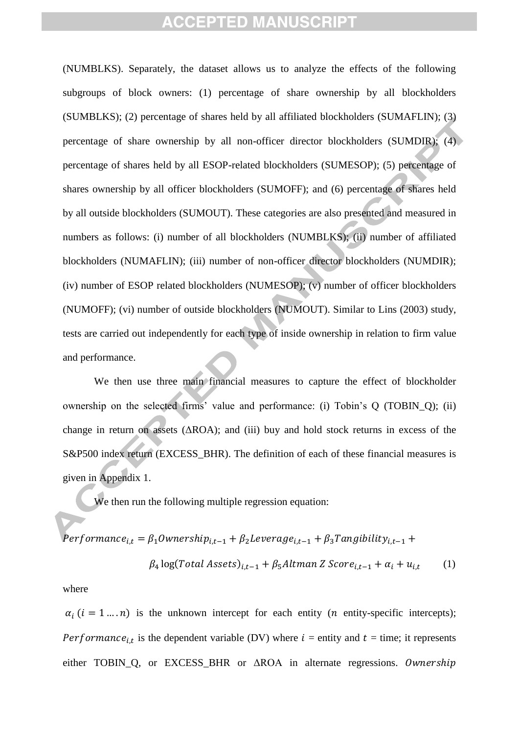(NUMBLKS). Separately, the dataset allows us to analyze the effects of the following subgroups of block owners: (1) percentage of share ownership by all blockholders (SUMBLKS); (2) percentage of shares held by all affiliated blockholders (SUMAFLIN); (3) percentage of share ownership by all non-officer director blockholders (SUMDIR); (4) percentage of shares held by all ESOP-related blockholders (SUMESOP); (5) percentage of shares ownership by all officer blockholders (SUMOFF); and (6) percentage of shares held by all outside blockholders (SUMOUT). These categories are also presented and measured in numbers as follows: (i) number of all blockholders (NUMBLKS); (ii) number of affiliated blockholders (NUMAFLIN); (iii) number of non-officer director blockholders (NUMDIR); (iv) number of ESOP related blockholders (NUMESOP); (v) number of officer blockholders (NUMOFF); (vi) number of outside blockholders (NUMOUT). Similar to [Lins \(2003\)](#page-25-0) study, tests are carried out independently for each type of inside ownership in relation to firm value and performance.

We then use three main financial measures to capture the effect of blockholder ownership on the selected firms' value and performance: (i) Tobin's Q (TOBIN\_Q); (ii) change in return on assets  $(AROA)$ ; and (iii) buy and hold stock returns in excess of the S&P500 index return (EXCESS\_BHR). The definition of each of these financial measures is given in Appendix 1.

We then run the following multiple regression equation:

$$
Performance_{i,t} = \beta_1 Ownership_{i,t-1} + \beta_2 Leverage_{i,t-1} + \beta_3 Tangibility_{i,t-1} +
$$

$$
\beta_4 \log(Total Assets)_{i,t-1} + \beta_5 Altman Z Score_{i,t-1} + \alpha_i + u_{i,t} \tag{1}
$$

#### where

 $\alpha_i$  ( $i = 1 ... n$ ) is the unknown intercept for each entity (*n* entity-specific intercepts); *Performance*<sub>it</sub> is the dependent variable (DV) where  $i =$  entity and  $t =$  time; it represents either TOBIN Q, or EXCESS BHR or ΔROA in alternate regressions. Ownership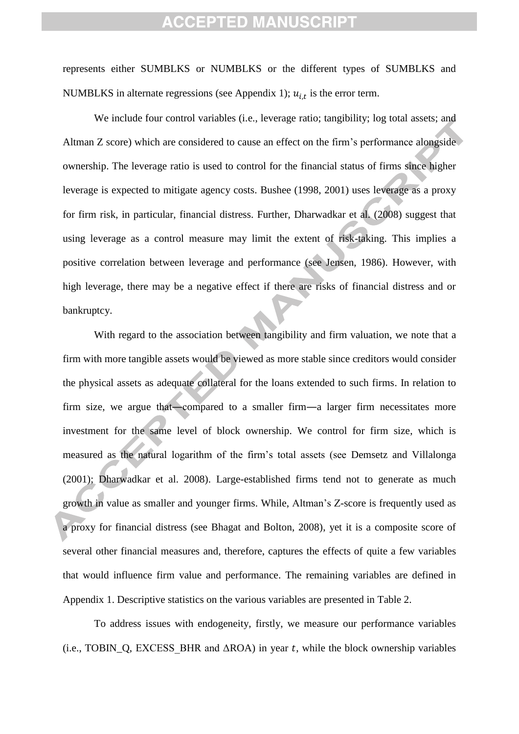represents either SUMBLKS or NUMBLKS or the different types of SUMBLKS and NUMBLKS in alternate regressions (see Appendix 1);  $u_{i,t}$  is the error term.

We include four control variables (i.e., leverage ratio; tangibility; log total assets; and Altman Z score) which are considered to cause an effect on the firm's performance alongside ownership. The leverage ratio is used to control for the financial status of firms since higher leverage is expected to mitigate agency costs. Bushee (1998, 2001) uses leverage as a proxy for firm risk, in particular, financial distress. Further, Dharwadkar et al. (2008) suggest that using leverage as a control measure may limit the extent of risk-taking. This implies a positive correlation between leverage and performance (see Jensen, 1986). However, with high leverage, there may be a negative effect if there are risks of financial distress and or bankruptcy.

With regard to the association between tangibility and firm valuation, we note that a firm with more tangible assets would be viewed as more stable since creditors would consider the physical assets as adequate collateral for the loans extended to such firms. In relation to firm size, we argue that―compared to a smaller firm―a larger firm necessitates more investment for the same level of block ownership. We control for firm size, which is measured as the natural logarithm of the firm's total assets (see Demsetz and Villalonga (2001); Dharwadkar et al. 2008). Large-established firms tend not to generate as much growth in value as smaller and younger firms. While, Altman's Z-score is frequently used as a proxy for financial distress (see Bhagat and Bolton, 2008), yet it is a composite score of several other financial measures and, therefore, captures the effects of quite a few variables that would influence firm value and performance. The remaining variables are defined in Appendix 1. Descriptive statistics on the various variables are presented in Table 2.

To address issues with endogeneity, firstly, we measure our performance variables (i.e., TOBIN Q, EXCESS BHR and  $\triangle$ ROA) in year t, while the block ownership variables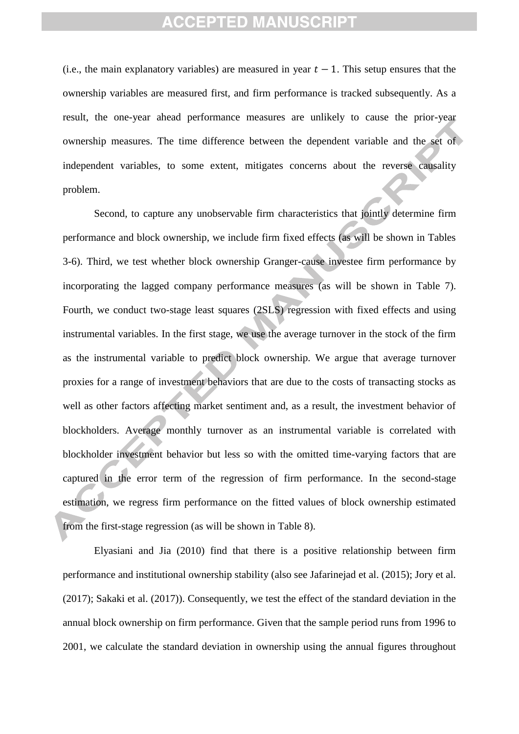(i.e., the main explanatory variables) are measured in year  $t - 1$ . This setup ensures that the ownership variables are measured first, and firm performance is tracked subsequently. As a result, the one-year ahead performance measures are unlikely to cause the prior-year ownership measures. The time difference between the dependent variable and the set of independent variables, to some extent, mitigates concerns about the reverse causality problem.

Second, to capture any unobservable firm characteristics that jointly determine firm performance and block ownership, we include firm fixed effects (as will be shown in Tables 3-6). Third, we test whether block ownership Granger-cause investee firm performance by incorporating the lagged company performance measures (as will be shown in Table 7). Fourth, we conduct two-stage least squares (2SLS) regression with fixed effects and using instrumental variables. In the first stage, we use the average turnover in the stock of the firm as the instrumental variable to predict block ownership. We argue that average turnover proxies for a range of investment behaviors that are due to the costs of transacting stocks as well as other factors affecting market sentiment and, as a result, the investment behavior of blockholders. Average monthly turnover as an instrumental variable is correlated with blockholder investment behavior but less so with the omitted time-varying factors that are captured in the error term of the regression of firm performance. In the second-stage estimation, we regress firm performance on the fitted values of block ownership estimated from the first-stage regression (as will be shown in Table 8).

Elyasiani and Jia (2010) find that there is a positive relationship between firm performance and institutional ownership stability (also see Jafarinejad et al. (2015); Jory et al. (2017); Sakaki et al. (2017)). Consequently, we test the effect of the standard deviation in the annual block ownership on firm performance. Given that the sample period runs from 1996 to 2001, we calculate the standard deviation in ownership using the annual figures throughout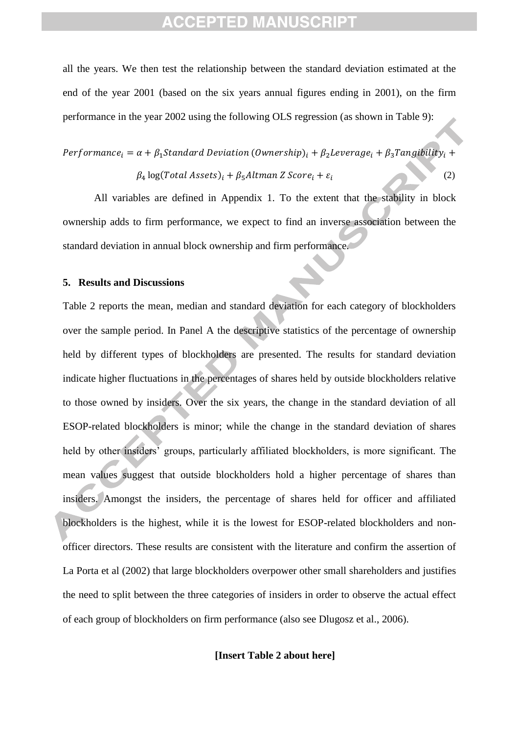all the years. We then test the relationship between the standard deviation estimated at the end of the year 2001 (based on the six years annual figures ending in 2001), on the firm performance in the year 2002 using the following OLS regression (as shown in Table 9):

Performance<sub>i</sub> =  $\alpha + \beta_1$ Standard Deviation (Ownership)<sub>i</sub> +  $\beta_2$ Leverage<sub>i</sub> +  $\beta_3$ Tangibility<sub>i</sub> +  $\beta_4$  log(Total Assets)<sub>i</sub> +  $\beta_5$ Altman Z Score<sub>i</sub> +  $\varepsilon_i$ (2) (2)

All variables are defined in Appendix 1. To the extent that the stability in block ownership adds to firm performance, we expect to find an inverse association between the standard deviation in annual block ownership and firm performance.

#### **5. Results and Discussions**

Table 2 reports the mean, median and standard deviation for each category of blockholders over the sample period. In Panel A the descriptive statistics of the percentage of ownership held by different types of blockholders are presented. The results for standard deviation indicate higher fluctuations in the percentages of shares held by outside blockholders relative to those owned by insiders. Over the six years, the change in the standard deviation of all ESOP-related blockholders is minor; while the change in the standard deviation of shares held by other insiders' groups, particularly affiliated blockholders, is more significant. The mean values suggest that outside blockholders hold a higher percentage of shares than insiders. Amongst the insiders, the percentage of shares held for officer and affiliated blockholders is the highest, while it is the lowest for ESOP-related blockholders and nonofficer directors. These results are consistent with the literature and confirm the assertion of La Porta et al (2002) that large blockholders overpower other small shareholders and justifies the need to split between the three categories of insiders in order to observe the actual effect of each group of blockholders on firm performance (also see Dlugosz et al., 2006).

#### **[Insert Table 2 about here]**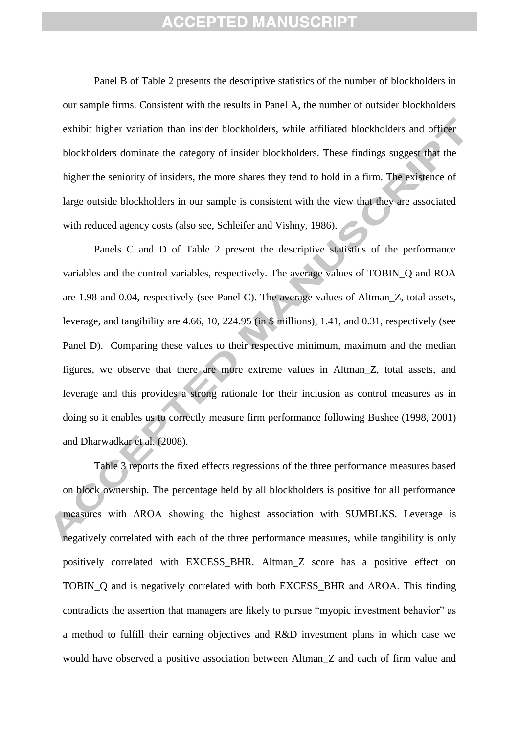Panel B of Table 2 presents the descriptive statistics of the number of blockholders in our sample firms. Consistent with the results in Panel A, the number of outsider blockholders exhibit higher variation than insider blockholders, while affiliated blockholders and officer blockholders dominate the category of insider blockholders. These findings suggest that the higher the seniority of insiders, the more shares they tend to hold in a firm. The existence of large outside blockholders in our sample is consistent with the view that they are associated with reduced agency costs (also see, Schleifer and Vishny, 1986).

Panels C and D of Table 2 present the descriptive statistics of the performance variables and the control variables, respectively. The average values of TOBIN\_Q and ROA are 1.98 and 0.04, respectively (see Panel C). The average values of Altman\_Z, total assets, leverage, and tangibility are 4.66, 10, 224.95 (in \$ millions), 1.41, and 0.31, respectively (see Panel D). Comparing these values to their respective minimum, maximum and the median figures, we observe that there are more extreme values in Altman\_Z, total assets, and leverage and this provides a strong rationale for their inclusion as control measures as in doing so it enables us to correctly measure firm performance following Bushee (1998, 2001) and Dharwadkar et al. (2008).

Table 3 reports the fixed effects regressions of the three performance measures based on block ownership. The percentage held by all blockholders is positive for all performance measures with ΔROA showing the highest association with SUMBLKS. Leverage is negatively correlated with each of the three performance measures, while tangibility is only positively correlated with EXCESS\_BHR. Altman\_Z score has a positive effect on TOBIN\_Q and is negatively correlated with both EXCESS\_BHR and ΔROA. This finding contradicts the assertion that managers are likely to pursue "myopic investment behavior" as a method to fulfill their earning objectives and R&D investment plans in which case we would have observed a positive association between Altman\_Z and each of firm value and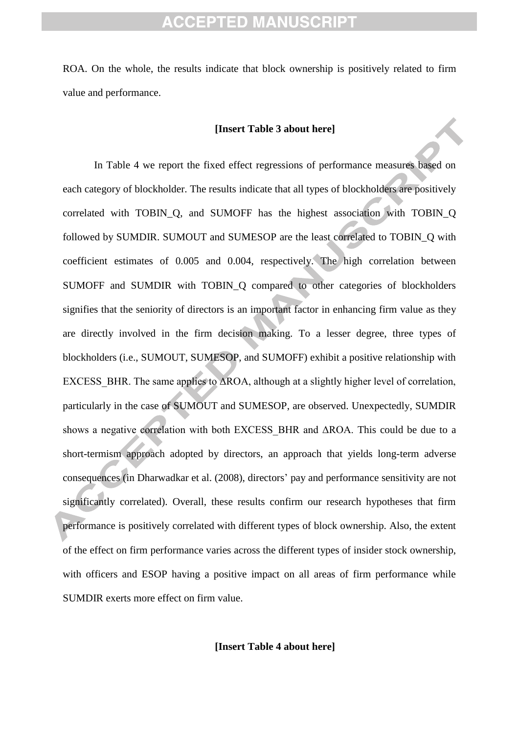ROA. On the whole, the results indicate that block ownership is positively related to firm value and performance.

#### **[Insert Table 3 about here]**

In Table 4 we report the fixed effect regressions of performance measures based on each category of blockholder. The results indicate that all types of blockholders are positively correlated with TOBIN\_Q, and SUMOFF has the highest association with TOBIN\_Q followed by SUMDIR. SUMOUT and SUMESOP are the least correlated to TOBIN\_Q with coefficient estimates of 0.005 and 0.004, respectively. The high correlation between SUMOFF and SUMDIR with TOBIN O compared to other categories of blockholders signifies that the seniority of directors is an important factor in enhancing firm value as they are directly involved in the firm decision making. To a lesser degree, three types of blockholders (i.e., SUMOUT, SUMESOP, and SUMOFF) exhibit a positive relationship with EXCESS\_BHR. The same applies to ΔROA, although at a slightly higher level of correlation, particularly in the case of SUMOUT and SUMESOP, are observed. Unexpectedly, SUMDIR shows a negative correlation with both EXCESS\_BHR and ΔROA. This could be due to a short-termism approach adopted by directors, an approach that yields long-term adverse consequences (in Dharwadkar et al. (2008), directors' pay and performance sensitivity are not significantly correlated). Overall, these results confirm our research hypotheses that firm performance is positively correlated with different types of block ownership. Also, the extent of the effect on firm performance varies across the different types of insider stock ownership, with officers and ESOP having a positive impact on all areas of firm performance while SUMDIR exerts more effect on firm value.

**[Insert Table 4 about here]**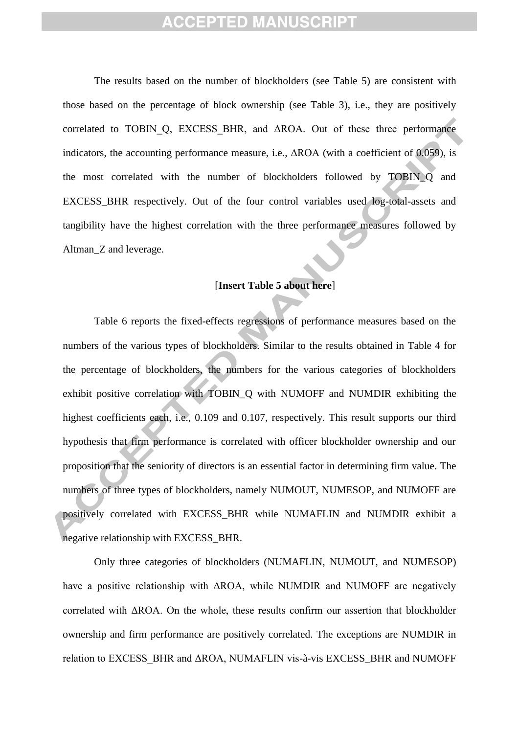The results based on the number of blockholders (see Table 5) are consistent with those based on the percentage of block ownership (see Table 3), i.e., they are positively correlated to TOBIN Q, EXCESS BHR, and  $\triangle$ ROA. Out of these three performance indicators, the accounting performance measure, i.e., ΔROA (with a coefficient of 0.059), is the most correlated with the number of blockholders followed by TOBIN\_Q and EXCESS\_BHR respectively. Out of the four control variables used log-total-assets and tangibility have the highest correlation with the three performance measures followed by Altman\_Z and leverage.

#### [**Insert Table 5 about here**]

Table 6 reports the fixed-effects regressions of performance measures based on the numbers of the various types of blockholders. Similar to the results obtained in Table 4 for the percentage of blockholders, the numbers for the various categories of blockholders exhibit positive correlation with TOBIN\_Q with NUMOFF and NUMDIR exhibiting the highest coefficients each, i.e., 0.109 and 0.107, respectively. This result supports our third hypothesis that firm performance is correlated with officer blockholder ownership and our proposition that the seniority of directors is an essential factor in determining firm value. The numbers of three types of blockholders, namely NUMOUT, NUMESOP, and NUMOFF are positively correlated with EXCESS\_BHR while NUMAFLIN and NUMDIR exhibit a negative relationship with EXCESS\_BHR.

Only three categories of blockholders (NUMAFLIN, NUMOUT, and NUMESOP) have a positive relationship with ΔROA, while NUMDIR and NUMOFF are negatively correlated with ΔROA. On the whole, these results confirm our assertion that blockholder ownership and firm performance are positively correlated. The exceptions are NUMDIR in relation to EXCESS\_BHR and ΔROA, NUMAFLIN vis-à-vis EXCESS\_BHR and NUMOFF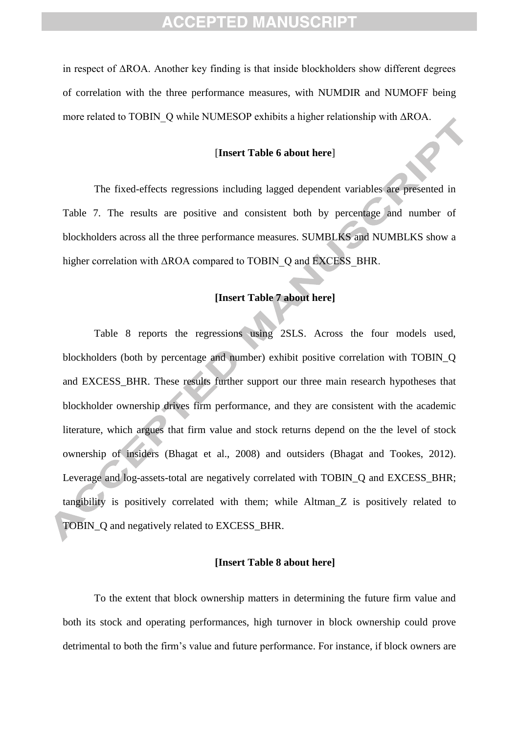in respect of ΔROA. Another key finding is that inside blockholders show different degrees of correlation with the three performance measures, with NUMDIR and NUMOFF being more related to TOBIN\_Q while NUMESOP exhibits a higher relationship with ΔROA.

#### [**Insert Table 6 about here**]

The fixed-effects regressions including lagged dependent variables are presented in Table 7. The results are positive and consistent both by percentage and number of blockholders across all the three performance measures. SUMBLKS and NUMBLKS show a higher correlation with ΔROA compared to TOBIN\_Q and EXCESS\_BHR.

#### **[Insert Table 7 about here]**

Table 8 reports the regressions using 2SLS. Across the four models used, blockholders (both by percentage and number) exhibit positive correlation with TOBIN\_Q and EXCESS\_BHR. These results further support our three main research hypotheses that blockholder ownership drives firm performance, and they are consistent with the academic literature, which argues that firm value and stock returns depend on the the level of stock ownership of insiders (Bhagat et al., 2008) and outsiders (Bhagat and Tookes, 2012). Leverage and log-assets-total are negatively correlated with TOBIN\_Q and EXCESS\_BHR; tangibility is positively correlated with them; while Altman\_Z is positively related to TOBIN\_Q and negatively related to EXCESS\_BHR.

#### **[Insert Table 8 about here]**

To the extent that block ownership matters in determining the future firm value and both its stock and operating performances, high turnover in block ownership could prove detrimental to both the firm's value and future performance. For instance, if block owners are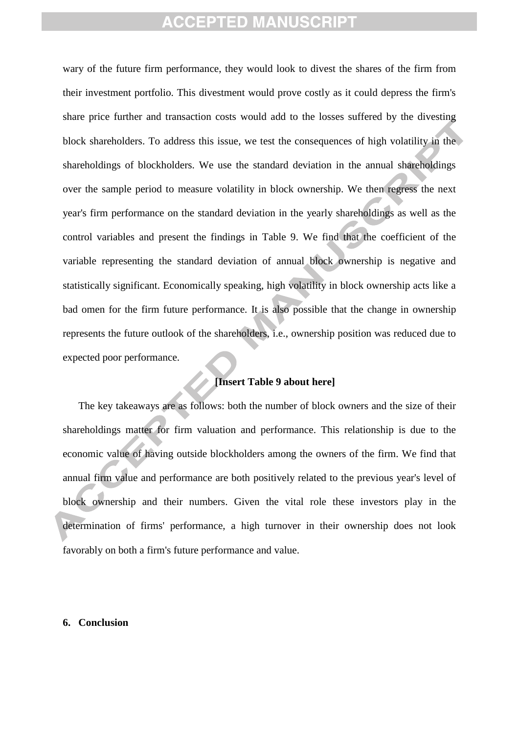wary of the future firm performance, they would look to divest the shares of the firm from their investment portfolio. This divestment would prove costly as it could depress the firm's share price further and transaction costs would add to the losses suffered by the divesting block shareholders. To address this issue, we test the consequences of high volatility in the shareholdings of blockholders. We use the standard deviation in the annual shareholdings over the sample period to measure volatility in block ownership. We then regress the next year's firm performance on the standard deviation in the yearly shareholdings as well as the control variables and present the findings in Table 9. We find that the coefficient of the variable representing the standard deviation of annual block ownership is negative and statistically significant. Economically speaking, high volatility in block ownership acts like a bad omen for the firm future performance. It is also possible that the change in ownership represents the future outlook of the shareholders, i.e., ownership position was reduced due to expected poor performance.

#### **[Insert Table 9 about here]**

The key takeaways are as follows: both the number of block owners and the size of their shareholdings matter for firm valuation and performance. This relationship is due to the economic value of having outside blockholders among the owners of the firm. We find that annual firm value and performance are both positively related to the previous year's level of block ownership and their numbers. Given the vital role these investors play in the determination of firms' performance, a high turnover in their ownership does not look favorably on both a firm's future performance and value.

#### **6. Conclusion**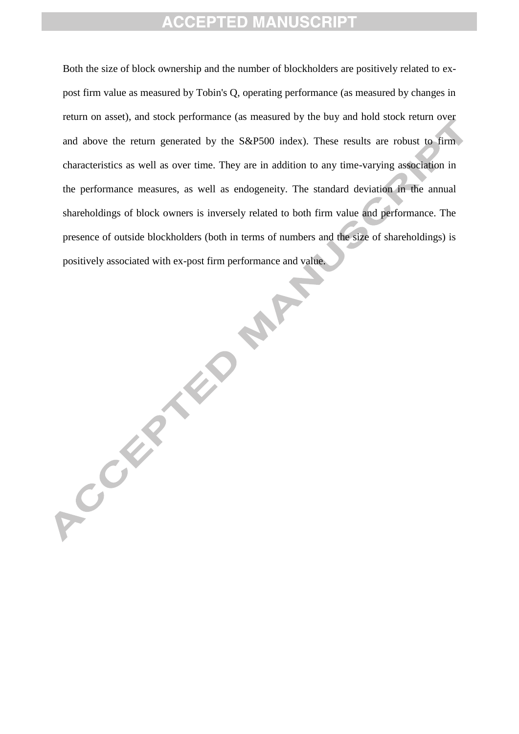Both the size of block ownership and the number of blockholders are positively related to expost firm value as measured by Tobin's Q, operating performance (as measured by changes in return on asset), and stock performance (as measured by the buy and hold stock return over and above the return generated by the S&P500 index). These results are robust to firm characteristics as well as over time. They are in addition to any time-varying association in the performance measures, as well as endogeneity. The standard deviation in the annual shareholdings of block owners is inversely related to both firm value and performance. The presence of outside blockholders (both in terms of numbers and the size of shareholdings) is positively associated with ex-post firm performance and value.

RAY ACCEPTED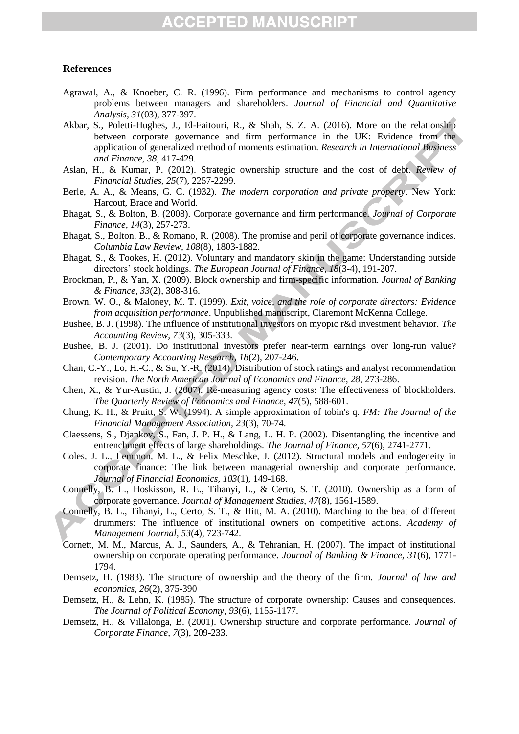#### **References**

- Agrawal, A., & Knoeber, C. R. (1996). Firm performance and mechanisms to control agency problems between managers and shareholders. *Journal of Financial and Quantitative Analysis, 31*(03), 377-397.
- Akbar, S., Poletti-Hughes, J., El-Faitouri, R., & Shah, S. Z. A. (2016). More on the relationship between corporate governance and firm performance in the UK: Evidence from the application of generalized method of moments estimation. *Research in International Business and Finance, 38*, 417-429.
- <span id="page-23-6"></span>Aslan, H., & Kumar, P. (2012). Strategic ownership structure and the cost of debt. *Review of Financial Studies, 25*(7), 2257-2299.
- Berle, A. A., & Means, G. C. (1932). *The modern corporation and private property*. New York: Harcout, Brace and World.
- <span id="page-23-0"></span>Bhagat, S., & Bolton, B. (2008). Corporate governance and firm performance. *Journal of Corporate Finance, 14*(3), 257-273.
- Bhagat, S., Bolton, B., & Romano, R. (2008). The promise and peril of corporate governance indices. *Columbia Law Review, 108*(8), 1803-1882.
- Bhagat, S., & Tookes, H. (2012). Voluntary and mandatory skin in the game: Understanding outside directors' stock holdings. *The European Journal of Finance, 18*(3-4), 191-207.
- <span id="page-23-4"></span>Brockman, P., & Yan, X. (2009). Block ownership and firm-specific information. *Journal of Banking & Finance, 33*(2), 308-316.
- Brown, W. O., & Maloney, M. T. (1999). *Exit, voice, and the role of corporate directors: Evidence from acquisition performance*. Unpublished manuscript, Claremont McKenna College.
- <span id="page-23-5"></span>Bushee, B. J. (1998). The influence of institutional investors on myopic r&d investment behavior. *The Accounting Review, 73*(3), 305-333.
- Bushee, B. J. (2001). Do institutional investors prefer near-term earnings over long-run value? *Contemporary Accounting Research, 18*(2), 207-246.
- Chan, C.-Y., Lo, H.-C., & Su, Y.-R. (2014). Distribution of stock ratings and analyst recommendation revision. *The North American Journal of Economics and Finance, 28*, 273-286.
- Chen, X., & Yur-Austin, J. (2007). Re-measuring agency costs: The effectiveness of blockholders. *The Quarterly Review of Economics and Finance, 47*(5), 588-601.
- Chung, K. H., & Pruitt, S. W. (1994). A simple approximation of tobin's q. *FM: The Journal of the Financial Management Association, 23*(3), 70-74.
- <span id="page-23-7"></span>Claessens, S., Djankov, S., Fan, J. P. H., & Lang, L. H. P. (2002). Disentangling the incentive and entrenchment effects of large shareholdings. *The Journal of Finance, 57*(6), 2741-2771.
- Coles, J. L., Lemmon, M. L., & Felix Meschke, J. (2012). Structural models and endogeneity in corporate finance: The link between managerial ownership and corporate performance. *Journal of Financial Economics, 103*(1), 149-168.
- Connelly, B. L., Hoskisson, R. E., Tihanyi, L., & Certo, S. T. (2010). Ownership as a form of corporate governance. *Journal of Management Studies, 47*(8), 1561-1589.
- <span id="page-23-1"></span>Connelly, B. L., Tihanyi, L., Certo, S. T., & Hitt, M. A. (2010). Marching to the beat of different drummers: The influence of institutional owners on competitive actions. *Academy of Management Journal, 53*(4), 723-742.
- <span id="page-23-8"></span>Cornett, M. M., Marcus, A. J., Saunders, A., & Tehranian, H. (2007). The impact of institutional ownership on corporate operating performance. *Journal of Banking & Finance, 31*(6), 1771- 1794.
- Demsetz, H. (1983). The structure of ownership and the theory of the firm. *Journal of law and economics, 26*(2), 375-390
- <span id="page-23-3"></span>Demsetz, H., & Lehn, K. (1985). The structure of corporate ownership: Causes and consequences. *The Journal of Political Economy, 93*(6), 1155-1177.
- <span id="page-23-2"></span>Demsetz, H., & Villalonga, B. (2001). Ownership structure and corporate performance. *Journal of Corporate Finance, 7*(3), 209-233.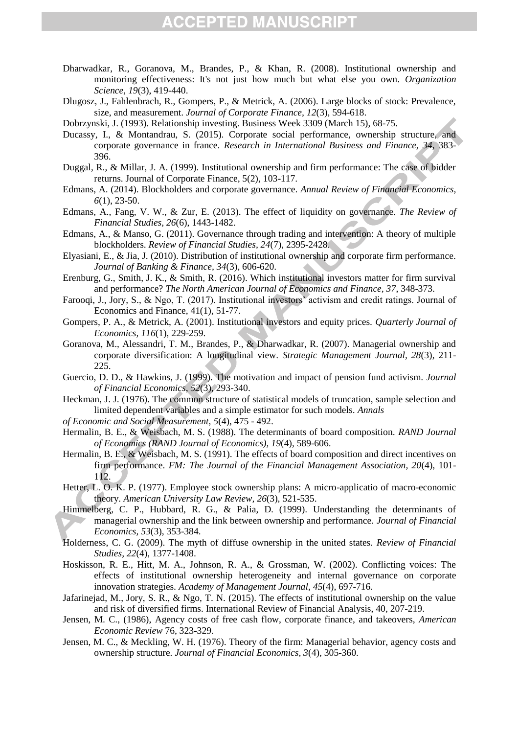- <span id="page-24-3"></span>Dharwadkar, R., Goranova, M., Brandes, P., & Khan, R. (2008). Institutional ownership and monitoring effectiveness: It's not just how much but what else you own. *Organization Science, 19*(3), 419-440.
- Dlugosz, J., Fahlenbrach, R., Gompers, P., & Metrick, A. (2006). Large blocks of stock: Prevalence, size, and measurement. *Journal of Corporate Finance, 12*(3), 594-618.

Dobrzynski, J. (1993). Relationship investing. Business Week 3309 (March 15), 68-75.

- <span id="page-24-8"></span>Ducassy, I., & Montandrau, S. (2015). Corporate social performance, ownership structure, and corporate governance in france. *Research in International Business and Finance, 34*, 383- 396.
- Duggal, R., & Millar, J. A. (1999). Institutional ownership and firm performance: The case of bidder returns. Journal of Corporate Finance, 5(2), 103-117.
- Edmans, A. (2014). Blockholders and corporate governance. *Annual Review of Financial Economics, 6*(1), 23-50.
- Edmans, A., Fang, V. W., & Zur, E. (2013). The effect of liquidity on governance. *The Review of Financial Studies, 26*(6), 1443-1482.
- <span id="page-24-1"></span>Edmans, A., & Manso, G. (2011). Governance through trading and intervention: A theory of multiple blockholders. *Review of Financial Studies, 24*(7), 2395-2428.
- Elyasiani, E., & Jia, J. (2010). Distribution of institutional ownership and corporate firm performance. *Journal of Banking & Finance, 34*(3), 606-620.
- Erenburg, G., Smith, J. K., & Smith, R. (2016). Which institutional investors matter for firm survival and performance? *The North American Journal of Economics and Finance, 37*, 348-373.
- Farooqi, J., Jory, S., & Ngo, T. (2017). Institutional investors' activism and credit ratings. Journal of Economics and Finance, 41(1), 51-77.
- Gompers, P. A., & Metrick, A. (2001). Institutional investors and equity prices. *Quarterly Journal of Economics, 116*(1), 229-259.
- Goranova, M., Alessandri, T. M., Brandes, P., & Dharwadkar, R. (2007). Managerial ownership and corporate diversification: A longitudinal view. *Strategic Management Journal, 28*(3), 211- 225.
- Guercio, D. D., & Hawkins, J. (1999). The motivation and impact of pension fund activism. *Journal of Financial Economics, 52*(3), 293-340.
- <span id="page-24-5"></span>Heckman, J. J. (1976). The common structure of statistical models of truncation, sample selection and limited dependent variables and a simple estimator for such models. *Annals*
- *of Economic and Social Measurement, 5*(4), 475 492.
- Hermalin, B. E., & Weisbach, M. S. (1988). The determinants of board composition. *RAND Journal of Economics (RAND Journal of Economics), 19*(4), 589-606.
- <span id="page-24-0"></span>Hermalin, B. E., & Weisbach, M. S. (1991). The effects of board composition and direct incentives on firm performance. *FM: The Journal of the Financial Management Association, 20*(4), 101- 112.
- <span id="page-24-4"></span>Hetter, L. O. K. P. (1977). Employee stock ownership plans: A micro-applicatio of macro-economic theory. *American University Law Review, 26*(3), 521-535.
- <span id="page-24-2"></span>Himmelberg, C. P., Hubbard, R. G., & Palia, D. (1999). Understanding the determinants of managerial ownership and the link between ownership and performance. *Journal of Financial Economics, 53*(3), 353-384.
- <span id="page-24-7"></span>Holderness, C. G. (2009). The myth of diffuse ownership in the united states. *Review of Financial Studies, 22*(4), 1377-1408.
- Hoskisson, R. E., Hitt, M. A., Johnson, R. A., & Grossman, W. (2002). Conflicting voices: The effects of institutional ownership heterogeneity and internal governance on corporate innovation strategies. *Academy of Management Journal, 45*(4), 697-716.
- Jafarinejad, M., Jory, S. R., & Ngo, T. N. (2015). The effects of institutional ownership on the value and risk of diversified firms. International Review of Financial Analysis, 40, 207-219.
- <span id="page-24-6"></span>Jensen, M. C., (1986), Agency costs of free cash flow, corporate finance, and takeovers, *American Economic Review* 76, 323-329.
- Jensen, M. C., & Meckling, W. H. (1976). Theory of the firm: Managerial behavior, agency costs and ownership structure. *Journal of Financial Economics, 3*(4), 305-360.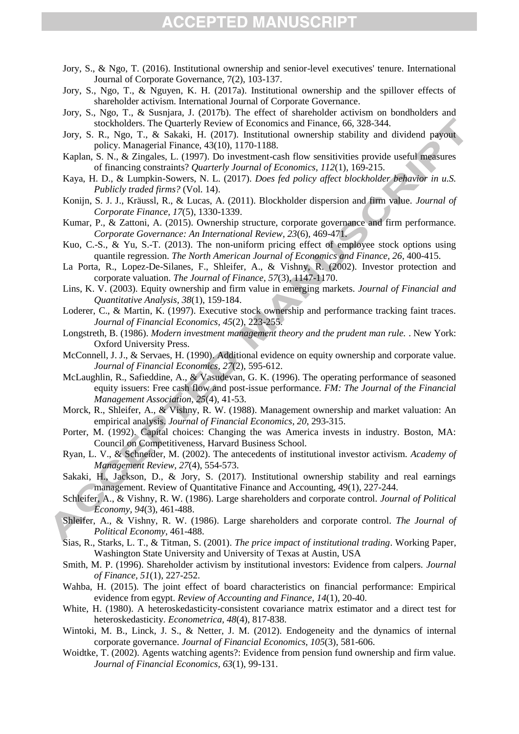- Jory, S., & Ngo, T. (2016). Institutional ownership and senior-level executives' tenure. International Journal of Corporate Governance, 7(2), 103-137.
- Jory, S., Ngo, T., & Nguyen, K. H. (2017a). Institutional ownership and the spillover effects of shareholder activism. International Journal of Corporate Governance.
- Jory, S., Ngo, T., & Susnjara, J. (2017b). The effect of shareholder activism on bondholders and stockholders. The Quarterly Review of Economics and Finance, 66, 328-344.
- Jory, S. R., Ngo, T., & Sakaki, H. (2017). Institutional ownership stability and dividend payout policy. Managerial Finance, 43(10), 1170-1188.
- <span id="page-25-2"></span>Kaplan, S. N., & Zingales, L. (1997). Do investment-cash flow sensitivities provide useful measures of financing constraints? *Quarterly Journal of Economics, 112*(1), 169-215.
- Kaya, H. D., & Lumpkin-Sowers, N. L. (2017). *Does fed policy affect blockholder behavior in u.S. Publicly traded firms?* (Vol. 14).
- <span id="page-25-0"></span>Konijn, S. J. J., Kräussl, R., & Lucas, A. (2011). Blockholder dispersion and firm value. *Journal of Corporate Finance, 17*(5), 1330-1339.
- Kumar, P., & Zattoni, A. (2015). Ownership structure, corporate governance and firm performance. *Corporate Governance: An International Review, 23*(6), 469-471.
- <span id="page-25-3"></span>Kuo, C.-S., & Yu, S.-T. (2013). The non-uniform pricing effect of employee stock options using quantile regression. *The North American Journal of Economics and Finance, 26*, 400-415.
- La Porta, R., Lopez-De-Silanes, F., Shleifer, A., & Vishny, R. (2002). Investor protection and corporate valuation. *The Journal of Finance, 57*(3), 1147-1170.
- Lins, K. V. (2003). Equity ownership and firm value in emerging markets. *Journal of Financial and Quantitative Analysis, 38*(1), 159-184.
- <span id="page-25-4"></span>Loderer, C., & Martin, K. (1997). Executive stock ownership and performance tracking faint traces. *Journal of Financial Economics, 45*(2), 223-255.
- <span id="page-25-1"></span>Longstreth, B. (1986). *Modern investment management theory and the prudent man rule.* . New York: Oxford University Press.
- McConnell, J. J., & Servaes, H. (1990). Additional evidence on equity ownership and corporate value. *Journal of Financial Economics, 27*(2), 595-612.
- McLaughlin, R., Safieddine, A., & Vasudevan, G. K. (1996). The operating performance of seasoned equity issuers: Free cash flow and post-issue performance. *FM: The Journal of the Financial Management Association, 25*(4), 41-53.
- Morck, R., Shleifer, A., & Vishny, R. W. (1988). Management ownership and market valuation: An empirical analysis. *Journal of Financial Economics, 20*, 293-315.
- Porter, M. (1992). Capital choices: Changing the was America invests in industry. Boston, MA: Council on Competitiveness, Harvard Business School.
- Ryan, L. V., & Schneider, M. (2002). The antecedents of institutional investor activism. *Academy of Management Review, 27*(4), 554-573.
- Sakaki, H., Jackson, D., & Jory, S. (2017). Institutional ownership stability and real earnings management. Review of Quantitative Finance and Accounting, 49(1), 227-244.
- <span id="page-25-5"></span>Schleifer, A., & Vishny, R. W. (1986). Large shareholders and corporate control. *Journal of Political Economy, 94*(3), 461-488.
- Shleifer, A., & Vishny, R. W. (1986). Large shareholders and corporate control. *The Journal of Political Economy*, 461-488.
- Sias, R., Starks, L. T., & Titman, S. (2001). *The price impact of institutional trading*. Working Paper, Washington State University and University of Texas at Austin, USA
- Smith, M. P. (1996). Shareholder activism by institutional investors: Evidence from calpers. *Journal of Finance, 51*(1), 227-252.
- Wahba, H. (2015). The joint effect of board characteristics on financial performance: Empirical evidence from egypt. *Review of Accounting and Finance, 14*(1), 20-40.
- White, H. (1980). A heteroskedasticity-consistent covariance matrix estimator and a direct test for heteroskedasticity. *Econometrica, 48*(4), 817-838.
- Wintoki, M. B., Linck, J. S., & Netter, J. M. (2012). Endogeneity and the dynamics of internal corporate governance. *Journal of Financial Economics, 105*(3), 581-606.
- Woidtke, T. (2002). Agents watching agents?: Evidence from pension fund ownership and firm value. *Journal of Financial Economics, 63*(1), 99-131.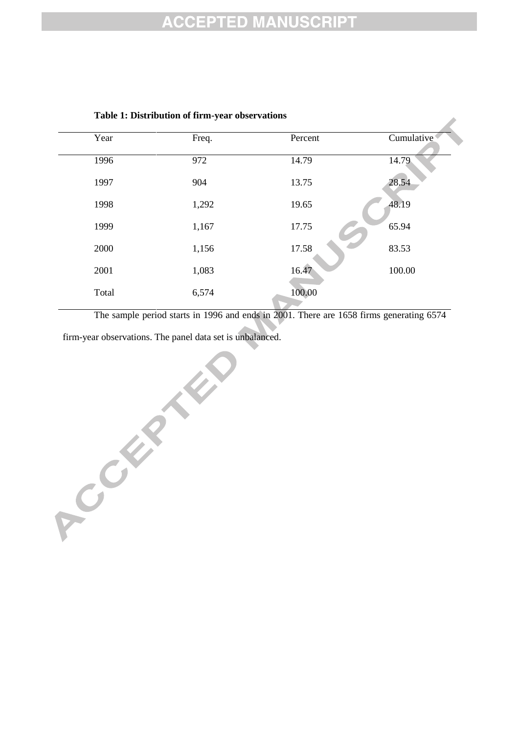z,

| Year  | Freq. | Percent | Cumulative |
|-------|-------|---------|------------|
| 1996  | 972   | 14.79   | 14.79      |
| 1997  | 904   | 13.75   | 28.54      |
| 1998  | 1,292 | 19.65   | 48.19      |
| 1999  | 1,167 | 17.75   | 65.94      |
| 2000  | 1,156 | 17.58   | 83.53      |
| 2001  | 1,083 | 16.47   | 100.00     |
| Total | 6,574 | 100.00  |            |

#### **Table 1: Distribution of firm-year observations**

The sample period starts in 1996 and ends in 2001. There are 1658 firms generating 6574

firm-year observations. The panel data set is unbalanced.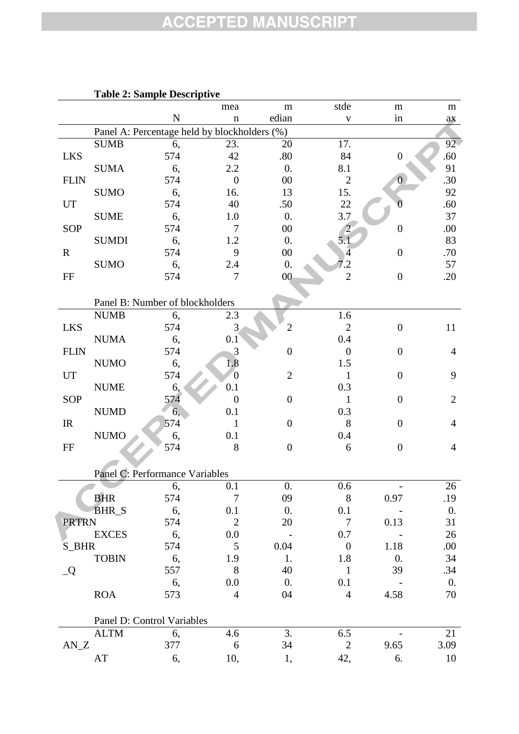|              |              | Table 2: Sample Descriptive                  |                       |                  |                  |                  |                  |
|--------------|--------------|----------------------------------------------|-----------------------|------------------|------------------|------------------|------------------|
|              |              |                                              | mea                   | m                | stde             | m                | m                |
|              |              | $\mathbf N$                                  | $\mathbf n$           | edian            | $\mathbf V$      | in               | ax               |
|              |              | Panel A: Percentage held by blockholders (%) |                       |                  |                  |                  |                  |
|              | <b>SUMB</b>  | 6,                                           | 23.                   | 20               | 17.              |                  | $92 -$           |
| <b>LKS</b>   |              | 574                                          | 42                    | .80              | 84               | $\boldsymbol{0}$ | .60              |
|              | <b>SUMA</b>  | 6,                                           | 2.2                   | 0.               | 8.1              |                  | 91               |
| <b>FLIN</b>  |              | 574                                          | $\overline{0}$        | $00\,$           | $\mathbf{2}$     | $\overline{0}$   | .30              |
|              | <b>SUMO</b>  | 6,                                           | 16.                   | 13               | 15.              |                  | 92               |
| UT           |              | 574                                          | 40                    | .50              | 22               |                  | .60              |
|              | <b>SUME</b>  | 6,                                           | 1.0                   | $\overline{0}$ . | 3.7              |                  | 37               |
| SOP          |              | 574                                          | 7                     | $00\,$           | $\overline{c}$   | $\boldsymbol{0}$ | .00              |
|              | <b>SUMDI</b> | 6,                                           | 1.2                   | $\overline{0}$ . | 5.1              |                  | 83               |
| $\mathbf R$  |              | 574                                          | 9                     | $00\,$           | $\overline{4}$   | $\boldsymbol{0}$ | .70              |
|              | <b>SUMO</b>  | 6,                                           | 2.4                   | 0.               | 7.2              |                  | 57               |
| FF           |              | 574                                          | $\overline{7}$        | $00\,$           | $\mathbf{2}$     | $\boldsymbol{0}$ | .20              |
|              |              |                                              |                       |                  |                  |                  |                  |
|              |              | Panel B: Number of blockholders              |                       |                  |                  |                  |                  |
|              | <b>NUMB</b>  | 6,                                           | 2.3                   |                  | 1.6              |                  |                  |
| <b>LKS</b>   |              | 574                                          | 3                     | $\overline{2}$   | $\mathbf{2}$     | $\boldsymbol{0}$ | 11               |
|              | <b>NUMA</b>  |                                              |                       |                  | 0.4              |                  |                  |
| <b>FLIN</b>  |              | 6,<br>574                                    | 0.1<br>3              | $\boldsymbol{0}$ | $\boldsymbol{0}$ | $\boldsymbol{0}$ |                  |
|              |              |                                              |                       |                  |                  |                  | 4                |
|              | <b>NUMO</b>  | 6,                                           | 1.8<br>$\overline{0}$ |                  | 1.5              |                  |                  |
| UT           |              | 574                                          |                       | $\mathfrak{2}$   | $\mathbf{1}$     | $\overline{0}$   | 9                |
|              | <b>NUME</b>  | 6,                                           | 0.1                   |                  | 0.3              |                  |                  |
| SOP          |              | 574                                          | $\theta$              | $\overline{0}$   | $\mathbf{1}$     | $\overline{0}$   | $\overline{2}$   |
|              | <b>NUMD</b>  | 6,                                           | 0.1                   |                  | 0.3              |                  |                  |
| IR           |              | 574                                          | 1                     | $\overline{0}$   | 8                | $\boldsymbol{0}$ | $\overline{4}$   |
|              | <b>NUMO</b>  | 6,                                           | 0.1                   |                  | 0.4              |                  |                  |
| FF           |              | 574                                          | 8                     | $\overline{0}$   | 6                | $\boldsymbol{0}$ | $\overline{4}$   |
|              |              |                                              |                       |                  |                  |                  |                  |
|              |              | Panel C: Performance Variables               |                       |                  |                  |                  |                  |
|              |              | 6,                                           | 0.1                   | 0.               | 0.6              |                  | 26               |
|              | <b>BHR</b>   | 574                                          | $\overline{7}$        | 09               | $8\,$            | 0.97             | .19              |
|              | <b>BHR_S</b> | 6,                                           | 0.1                   | 0.               | 0.1              |                  | $\overline{0}$ . |
| <b>PRTRN</b> |              | 574                                          | $\overline{2}$        | 20               | $\tau$           | 0.13             | 31               |
|              | <b>EXCES</b> | 6,                                           | 0.0                   |                  | 0.7              |                  | 26               |
| S_BHR        |              | 574                                          | 5                     | 0.04             | $\boldsymbol{0}$ | 1.18             | .00.             |
|              | <b>TOBIN</b> | 6,                                           | 1.9                   | 1.               | 1.8              | 0.               | 34               |
| Q            |              | 557                                          | 8                     | 40               | $\mathbf{1}$     | 39               | .34              |
|              |              | 6,                                           | 0.0                   | $\overline{0}$ . | 0.1              |                  | $\overline{0}$ . |
|              | <b>ROA</b>   | 573                                          | $\overline{4}$        | 04               | $\overline{4}$   | 4.58             | 70               |
|              |              |                                              |                       |                  |                  |                  |                  |
|              |              | Panel D: Control Variables                   |                       |                  |                  |                  |                  |
|              | <b>ALTM</b>  | 6,                                           | 4.6                   | 3.               | 6.5              |                  | 21               |
| $AN_Z$       |              | 377                                          | 6                     | 34               | $\mathbf{2}$     | 9.65             | 3.09             |
|              | AT           | 6,                                           | 10,                   |                  | 42,              | 6.               | 10               |
|              |              |                                              |                       | 1,               |                  |                  |                  |

### **Table 2: Sample Description**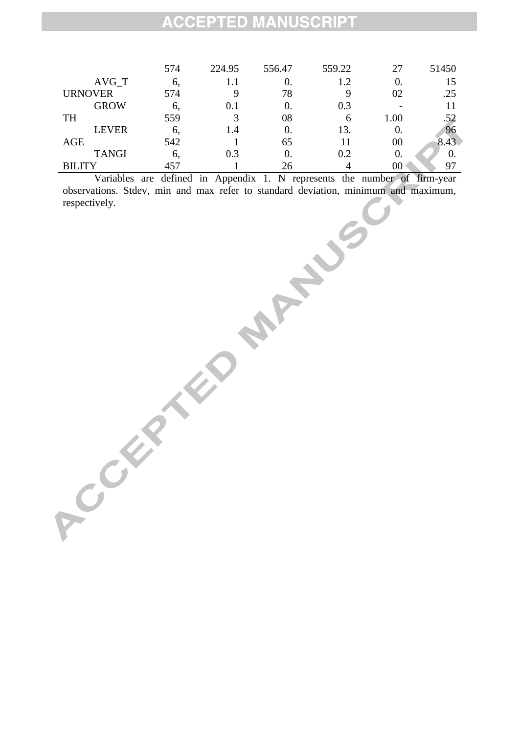|                | 574 | 224.95  | 556.47 | 559.22 | 27   | 51450 |
|----------------|-----|---------|--------|--------|------|-------|
| $AVG_T$        | 6,  | $1.1\,$ | 0.     | 1.2    | 0.   | 15    |
| <b>URNOVER</b> | 574 | 9       | 78     | 9      | 02   | .25   |
| <b>GROW</b>    | 6,  | 0.1     | 0.     | 0.3    |      |       |
| <b>TH</b>      | 559 | 3       | 08     | 6      | 1.00 | .52   |
| <b>LEVER</b>   | 6.  | 1.4     | 0.     | 13.    | 0.   | 96    |
| <b>AGE</b>     | 542 |         | 65     |        | 00   | 8.43  |
| <b>TANGI</b>   | 6.  | 0.3     | 0.     | 0.2    | 0    |       |
| <b>BILITY</b>  | 457 |         | 26     |        | 00   | 97    |

Variables are defined in Appendix 1. N represents the number of firm-year observations. Stdev, min and max refer to standard deviation, minimum and maximum, **Processes** Anti-Justice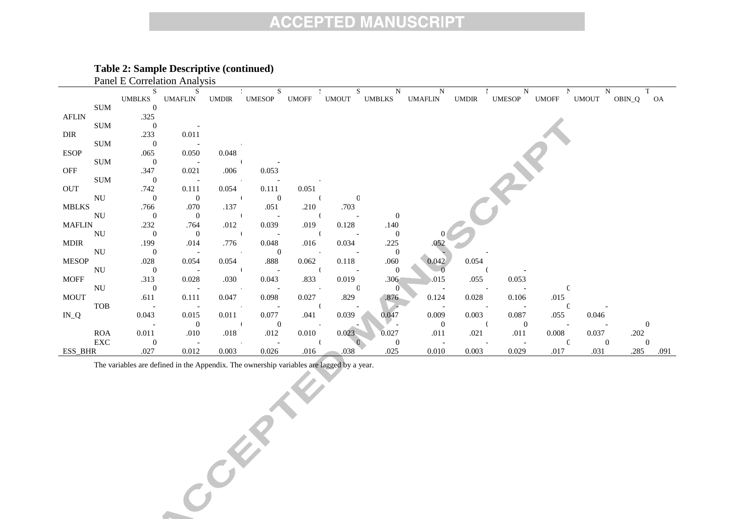#### **Table 2: Sample Descriptive (continued)** Panel E Correlation Analysis

|               |            |                          | F AIRT L'UNIVERTION ANALYSIS |                          |                          |              |                           |                                  |                |              |                          |              |                           |           |          |
|---------------|------------|--------------------------|------------------------------|--------------------------|--------------------------|--------------|---------------------------|----------------------------------|----------------|--------------|--------------------------|--------------|---------------------------|-----------|----------|
|               |            | S                        | <sup>S</sup>                 |                          | S                        |              |                           | $\mathbf N$<br>S                 | N              |              | N                        |              | N                         |           |          |
|               |            | UMBLKS UMAFLIN           |                              | UMDIR                    | UMESOP                   | <b>UMOFF</b> | <b>UMOUT</b>              |                                  | UMBLKS UMAFLIN | <b>UMDIR</b> | <b>UMESOP</b>            | <b>UMOFF</b> | <b>UMOUT</b>              | OBIN_Q OA |          |
|               | SUM        | $\overline{0}$           |                              |                          |                          |              |                           |                                  |                |              |                          |              |                           |           |          |
| <b>AFLIN</b>  |            | .325                     |                              |                          |                          |              |                           |                                  |                |              |                          |              |                           |           |          |
|               | <b>SUM</b> | $\overline{\phantom{0}}$ |                              |                          |                          |              |                           |                                  |                |              |                          |              |                           |           |          |
| <b>DIR</b>    |            | .233                     | 0.011                        |                          |                          |              |                           |                                  |                |              |                          |              |                           |           |          |
|               | SUM        | $\overline{\phantom{0}}$ |                              |                          |                          |              |                           |                                  |                |              |                          |              |                           |           |          |
| <b>ESOP</b>   |            | .065                     | 0.050                        | 0.048                    |                          |              |                           |                                  |                |              |                          |              |                           |           |          |
|               | <b>SUM</b> | $\overline{\phantom{0}}$ | $\sim 100$ km s $^{-1}$      |                          |                          |              |                           |                                  |                |              |                          |              |                           |           |          |
| OFF           |            | .347                     | 0.021                        | .006                     | 0.053                    |              |                           |                                  |                |              |                          |              |                           |           |          |
|               | <b>SUM</b> | $\overline{\phantom{0}}$ | $\sim 100$ m $^{-1}$         | <b>Contractor</b>        |                          |              |                           |                                  |                |              |                          |              |                           |           |          |
| OUT           |            | .742                     | 0.111                        | 0.054                    | 0.111                    | 0.051        |                           |                                  |                |              |                          |              |                           |           |          |
| NU            |            | $\overline{\mathbf{0}}$  | $\overline{0}$               | <b>Contract</b>          | $\overline{0}$           |              |                           | $\mathbf{0}$                     |                |              |                          |              |                           |           |          |
| <b>MBLKS</b>  |            | .766                     | .070                         | .137                     | .051                     | .210         | .703                      |                                  |                |              |                          |              |                           |           |          |
| NU            |            | $\overline{\phantom{0}}$ | $\overline{0}$               | <b>Contract</b>          | $\sim 100$               |              | $\sim 10^{11}$ m $^{-1}$  | $\mathbf{0}$                     |                |              |                          |              |                           |           |          |
| <b>MAFLIN</b> |            | .232                     | .764                         | .012                     | 0.039                    | .019         | 0.128                     | .140                             |                |              |                          |              |                           |           |          |
| NU            |            | $\overline{\mathbf{0}}$  | $\overline{0}$               | <b>Contract</b>          | $\sim$ $-$               |              |                           | $\overline{0}$                   |                |              |                          |              |                           |           |          |
| <b>MDIR</b>   |            | .199                     | .014                         | .776                     | 0.048                    | .016         | 0.034                     | .225                             | .052           |              |                          |              |                           |           |          |
| NU            |            | $\overline{\phantom{0}}$ | $\sim 100$ $\mu$             | <b>Contractor</b>        | $\overline{0}$           |              | <b>Contract Contract</b>  | $\overline{\mathbf{0}}$          |                |              |                          |              |                           |           |          |
| <b>MESOP</b>  |            | .028                     | 0.054                        | 0.054                    | .888                     | 0.062        | 0.118                     | .060                             | 0.042          | 0.054        |                          |              |                           |           |          |
| NU            |            | $\overline{\mathbf{0}}$  |                              |                          | $\sim 100$ km s $^{-1}$  |              | $\sim 10^{-10}$ m $^{-1}$ | $\overline{0}$                   | $\overline{0}$ |              |                          |              |                           |           |          |
| <b>MOFF</b>   |            | .313                     | 0.028                        | .030                     | 0.043                    | .833         | 0.019                     | .306                             | .015           | .055         | 0.053                    |              |                           |           |          |
|               | NU         | $\overline{\phantom{0}}$ |                              | <b>Contractor</b>        | $\sim 10^{11}$ m $^{-1}$ |              |                           | $\overline{0}$<br>$\overline{0}$ |                |              | <b>Contract Contract</b> |              |                           |           |          |
| <b>MOUT</b>   |            | .611                     | 0.111                        | 0.047                    | 0.098                    | 0.027        | .829                      | .876                             | 0.124          | 0.028        | 0.106                    | .015         |                           |           |          |
| <b>TOB</b>    |            | $\sim$ $-$               |                              | <b>Contractor</b>        | $\sim$ $-$               |              |                           | $\overline{a}$                   | $\sim 100$     |              | $\sim 100$ km s $^{-1}$  |              |                           |           |          |
| $IN_Q$        |            | 0.043                    | 0.015                        | 0.011                    | 0.077                    | .041         | 0.039                     | 0.047                            | 0.009          | 0.003        | 0.087                    | .055         | 0.046                     |           |          |
|               |            | $\sim 100$               | $\overline{0}$               | <b>Contract Contract</b> | $\overline{0}$           |              |                           |                                  | $\overline{0}$ |              | $\overline{0}$           |              | $\sim 10^{-10}$ m $^{-1}$ |           | $\Omega$ |
|               | <b>ROA</b> | 0.011                    | .010                         | .018                     | .012                     | 0.010        | 0.023                     | 0.027                            | .011           | .021         | .011                     | 0.008        | 0.037                     | .202      |          |
|               | EXC        | $\overline{0}$           |                              |                          |                          |              |                           | $\overline{0}$                   |                |              |                          |              | $\overline{0}$            |           |          |
| ESS BHR       |            | .027                     | 0.012                        | 0.003                    | 0.026                    | .016         | .038                      | .025                             | 0.010          | 0.003        | 0.029                    | .017         | .031                      | .285      | .091     |

The variables are defined in the Appendix. The ownership variables are lagged by a year.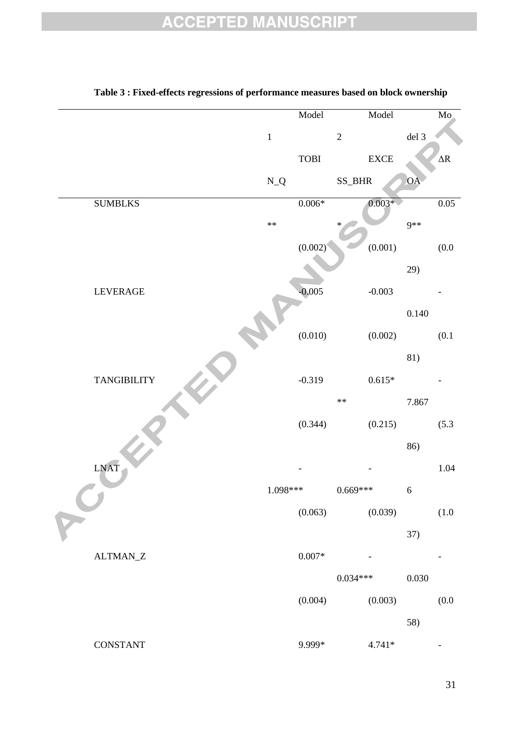|                           |            | Model             |                | Model        |            | Mo.        |
|---------------------------|------------|-------------------|----------------|--------------|------------|------------|
|                           | $\,1\,$    |                   | $\overline{2}$ |              | $del$ 3    |            |
|                           |            | ${\bf TOBI}$      |                | ${\rm EXCE}$ |            | $\Delta R$ |
|                           | $\rm N\_Q$ |                   | SS_BHR         |              | <b>OA</b>  |            |
| <b>SUMBLKS</b>            |            | $0.006*$          |                | $0.003*$     |            | 0.05       |
|                           | $\ast\ast$ |                   |                |              | 9**        |            |
|                           |            | (0.002)           |                | (0.001)      |            | (0.0)      |
|                           |            |                   |                |              | 29)        |            |
| LEVERAGE                  |            | $-0.005$          |                | $-0.003$     |            |            |
|                           |            |                   |                |              | $0.140\,$  |            |
|                           |            | (0.010)           |                | (0.002)      |            | (0.1)      |
|                           |            |                   |                |              | 81)        |            |
| <b>TANGIBILITY</b>        |            | $-0.319$          |                | $0.615*$     |            |            |
|                           |            |                   | $**$           |              | 7.867      |            |
|                           |            | (0.344)           |                | (0.215)      |            | (5.3)      |
|                           |            |                   |                |              | 86)        |            |
| <b>LNAT</b>               |            |                   |                |              |            | 1.04       |
|                           | $1.098***$ |                   | $0.669***$     |              | $\sqrt{6}$ |            |
|                           |            | (0.063)           |                | (0.039)      |            | (1.0)      |
|                           |            |                   |                |              | 37)        |            |
| $\text{ALTMAN}\_\text{Z}$ |            | $0.007\mathrm{*}$ |                |              |            |            |
|                           |            |                   | $0.034***$     |              | 0.030      |            |
|                           |            | (0.004)           |                | (0.003)      |            | (0.0)      |
|                           |            |                   |                |              | 58)        |            |
| <b>CONSTANT</b>           |            | 9.999*            |                | $4.741*$     |            |            |

#### **Table 3 : Fixed-effects regressions of performance measures based on block ownership**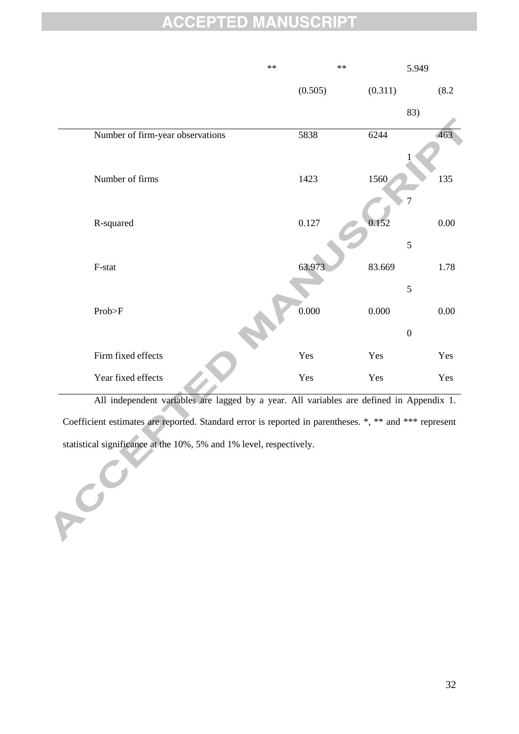|                                  | $\ast\ast$ | $\ast\ast$ | 5.949            |
|----------------------------------|------------|------------|------------------|
|                                  | (0.505)    | (0.311)    | (8.2)            |
|                                  |            |            | 83)              |
| Number of firm-year observations | 5838       | 6244       | 463              |
|                                  |            |            |                  |
| Number of firms                  | 1423       | 1560       | 135              |
|                                  |            |            | $\overline{7}$   |
| R-squared                        | 0.127      | 0.152      | $0.00\,$         |
|                                  |            |            | 5                |
| F-stat                           | 63.973     | 83.669     | 1.78             |
|                                  |            |            | 5                |
| Prob>F                           | 0.000      | 0.000      | $0.00\,$         |
|                                  |            |            | $\boldsymbol{0}$ |
| Firm fixed effects               | Yes        | Yes        | Yes              |
| Year fixed effects               | Yes        | Yes        | Yes              |
|                                  |            |            |                  |

All independent variables are lagged by a year. All variables are defined in Appendix 1. Coefficient estimates are reported. Standard error is reported in parentheses. \*, \*\* and \*\*\* represent statistical significance at the 10%, 5% and 1% level, respectively.

RCC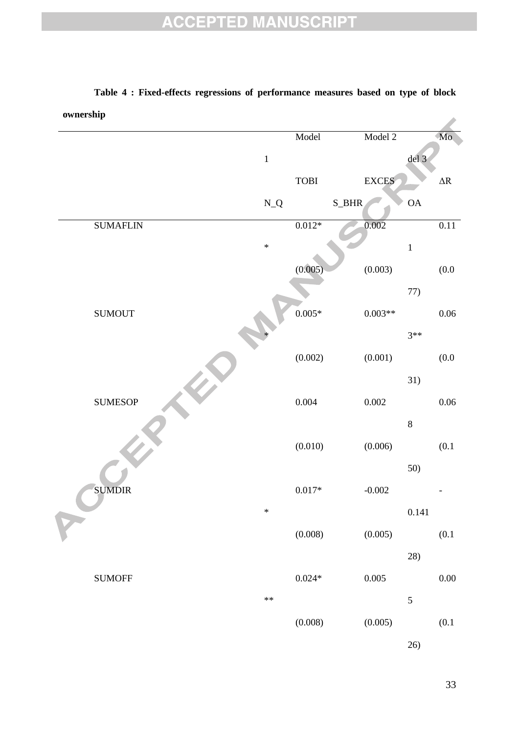| ownership |                 |                           |              |              |                 |                    |
|-----------|-----------------|---------------------------|--------------|--------------|-----------------|--------------------|
|           |                 |                           | Model        | Model 2      |                 | Mo                 |
|           |                 | $\,1\,$                   |              |              | del 3           |                    |
|           |                 |                           | ${\bf TOBI}$ | <b>EXCES</b> |                 | $\Delta \rm R$     |
|           |                 | $\mathbf{N}\_ \mathbf{Q}$ | S_BHR        |              | $\overline{OA}$ |                    |
|           | <b>SUMAFLIN</b> |                           | $0.012*$     | 0.002        |                 | 0.11               |
|           |                 | $\ast$                    |              |              | $\mathbf 1$     |                    |
|           |                 |                           | (0.005)      | (0.003)      |                 | $\left(0.0\right)$ |
|           |                 |                           |              |              | 77)             |                    |
|           | <b>SUMOUT</b>   |                           | $0.005*$     | $0.003**$    |                 | $0.06\,$           |
|           |                 |                           |              |              | $3**$           |                    |
|           |                 |                           | (0.002)      | (0.001)      |                 | (0.0)              |
|           |                 |                           |              |              | 31)             |                    |
|           | <b>SUMESOP</b>  |                           | $0.004\,$    | $0.002\,$    |                 | $0.06\,$           |
|           |                 |                           |              |              | $\,8\,$         |                    |
|           |                 |                           | (0.010)      | (0.006)      |                 | (0.1)              |
|           |                 |                           |              |              | 50)             |                    |
|           | <b>SUMDIR</b>   |                           | $0.017\ast$  | $-0.002$     |                 |                    |
|           |                 | $\ast$                    |              |              | 0.141           |                    |
|           |                 |                           | (0.008)      | (0.005)      |                 | $(0.1\,$           |
|           |                 |                           |              |              | 28)             |                    |
|           | <b>SUMOFF</b>   |                           | $0.024\,^*$  | $0.005\,$    |                 | $0.00\,$           |
|           |                 | $**$                      |              |              | 5               |                    |
|           |                 |                           | (0.008)      | (0.005)      |                 | $(0.1$             |
|           |                 |                           |              |              | 26)             |                    |

## **Table 4 : Fixed-effects regressions of performance measures based on type of block**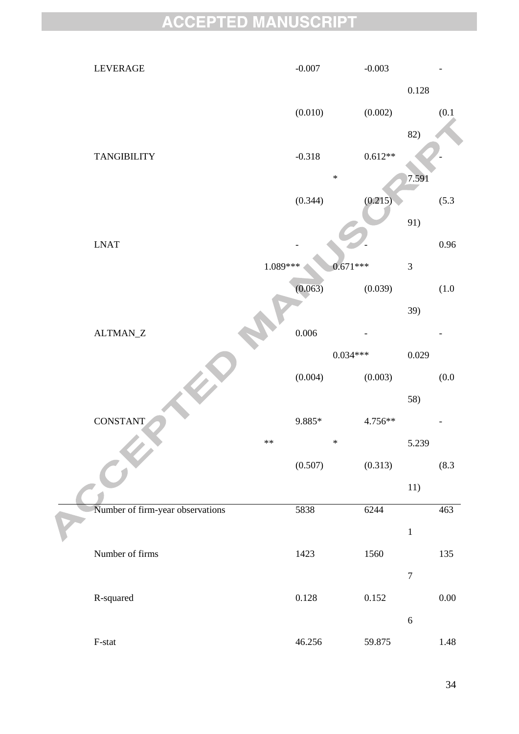| LEVERAGE                         | $-0.007$  | $-0.003$   |                  |          |
|----------------------------------|-----------|------------|------------------|----------|
|                                  |           |            | 0.128            |          |
|                                  | (0.010)   | (0.002)    |                  | (0.1)    |
|                                  |           |            | 82)              |          |
| <b>TANGIBILITY</b>               | $-0.318$  | $0.612**$  |                  |          |
|                                  |           | $\ast$     | 7.591            |          |
|                                  | (0.344)   | (0.215)    |                  | (5.3)    |
|                                  |           |            | 91)              |          |
| <b>LNAT</b>                      |           |            |                  | $0.96\,$ |
|                                  | 1.089***  | $0.671***$ | $\overline{3}$   |          |
|                                  | (0.063)   | (0.039)    |                  | $(1.0$   |
|                                  |           |            | 39)              |          |
| $\text{ALTMAN}\_\text{Z}$        | 0.006     |            |                  |          |
|                                  |           | $0.034***$ | 0.029            |          |
|                                  | (0.004)   | (0.003)    |                  | (0.0)    |
|                                  |           |            | 58)              |          |
| <b>CONSTANT</b>                  | $9.885*$  | 4.756**    |                  |          |
|                                  | $**$      | $\ast$     | 5.239            |          |
|                                  | (0.507)   | (0.313)    |                  | (8.3)    |
|                                  |           |            | 11)              |          |
| Number of firm-year observations | 5838      | 6244       |                  | 463      |
|                                  |           |            | $\mathbf 1$      |          |
| Number of firms                  | 1423      | 1560       |                  | 135      |
|                                  |           |            | $\boldsymbol{7}$ |          |
| R-squared                        | $0.128\,$ | 0.152      |                  | $0.00\,$ |
|                                  |           |            | $\sqrt{6}$       |          |
| $\operatorname{F-stat}$          | 46.256    | 59.875     |                  | 1.48     |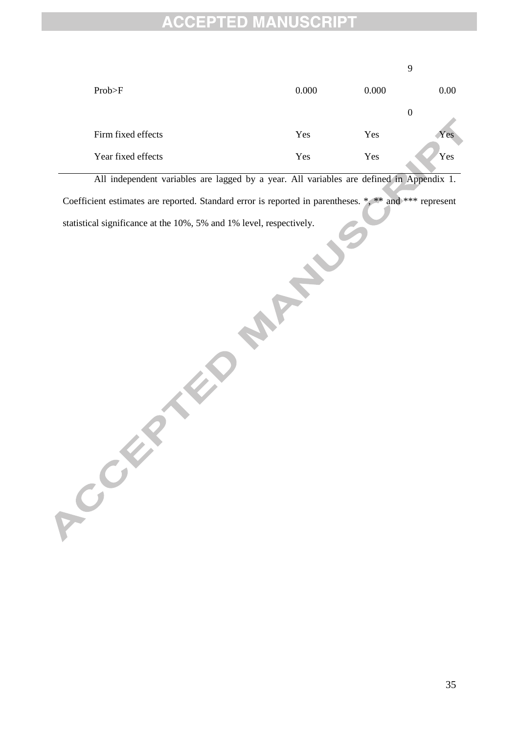|                    |       |       | 9        |
|--------------------|-------|-------|----------|
| Prob>F             | 0.000 | 0.000 | 0.00     |
|                    |       |       | $\theta$ |
| Firm fixed effects | Yes   | Yes   | Yes      |
| Year fixed effects | Yes   | Yes   | Yes      |

All independent variables are lagged by a year. All variables are defined in Appendix 1. Coefficient estimates are reported. Standard error is reported in parentheses. \*, \*\* and \*\*\* represent **PCCCER THE 10 MANUSOR**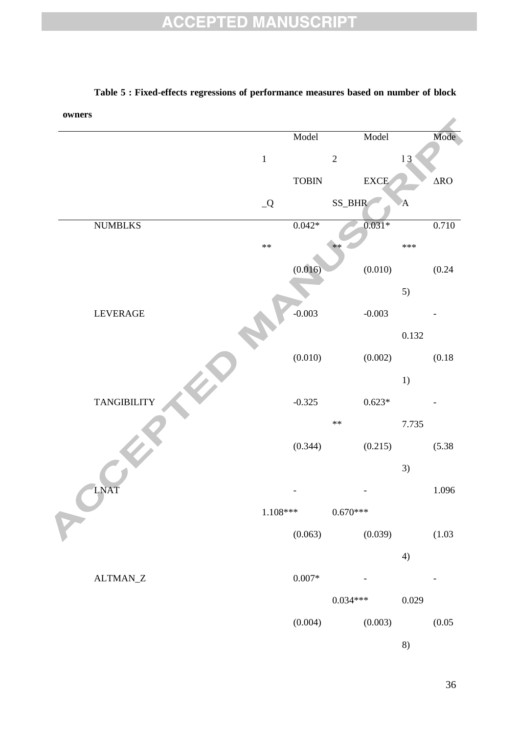| owners |                           |               |                   |            |              |              |                    |
|--------|---------------------------|---------------|-------------------|------------|--------------|--------------|--------------------|
|        |                           |               | Model             |            | Model        |              | Mode               |
|        |                           | $\,1\,$       |                   | $\sqrt{2}$ |              | 13           |                    |
|        |                           |               | ${\bf TOBIN}$     |            | ${\rm EXCE}$ |              | $\Delta \text{RO}$ |
|        |                           | $\mathcal{Q}$ |                   | SS_BHR     |              | $\mathbf{A}$ |                    |
|        | <b>NUMBLKS</b>            |               | $0.042*$          |            | $0.031*$     |              | 0.710              |
|        |                           | $\ast\ast$    |                   | $**$       |              | $***$        |                    |
|        |                           |               | (0.016)           |            | (0.010)      |              | (0.24)             |
|        |                           |               |                   |            |              | 5)           |                    |
|        | <b>LEVERAGE</b>           |               | $-0.003$          |            | $-0.003$     |              |                    |
|        |                           |               |                   |            |              | 0.132        |                    |
|        |                           |               | (0.010)           |            | (0.002)      |              | (0.18)             |
|        |                           |               |                   |            |              | 1)           |                    |
|        | <b>TANGIBILITY</b>        |               | $-0.325$          |            | $0.623*$     |              |                    |
|        |                           |               |                   | $\ast\ast$ |              | 7.735        |                    |
|        |                           |               | (0.344)           |            | (0.215)      |              | (5.38)             |
|        |                           |               |                   |            |              | 3)           |                    |
|        | LNAT                      |               |                   |            |              |              | 1.096              |
|        |                           | $1.108***$    |                   | $0.670***$ |              |              |                    |
|        |                           |               | (0.063)           |            | (0.039)      |              | (1.03)             |
|        |                           |               |                   |            |              | 4)           |                    |
|        | $\text{ALTMAN}\_\text{Z}$ |               | $0.007\mathrm{*}$ |            |              |              |                    |
|        |                           |               |                   | $0.034***$ |              | 0.029        |                    |
|        |                           |               | (0.004)           |            | (0.003)      |              | (0.05)             |
|        |                           |               |                   |            |              | 8)           |                    |

#### **Table 5 : Fixed-effects regressions of performance measures based on number of block**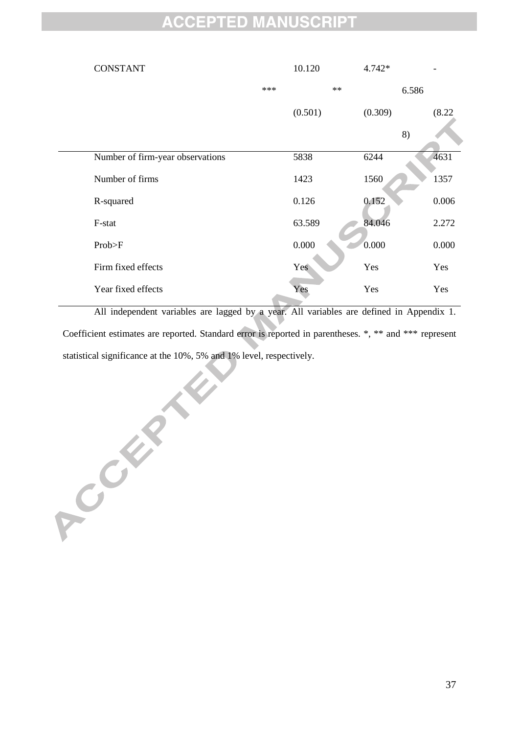| <b>CONSTANT</b>                  |       | 10.120  | 4.742*  |        |
|----------------------------------|-------|---------|---------|--------|
|                                  | $***$ | $**$    | 6.586   |        |
|                                  |       | (0.501) | (0.309) | (8.22) |
|                                  |       |         | 8)      |        |
| Number of firm-year observations |       | 5838    | 6244    | 4631   |
| Number of firms                  |       | 1423    | 1560    | 1357   |
| R-squared                        |       | 0.126   | 0.152   | 0.006  |
| F-stat                           |       | 63.589  | 84.046  | 2.272  |
| Prob>F                           |       | 0.000   | 0.000   | 0.000  |
| Firm fixed effects               |       | Yes     | Yes     | Yes    |
| Year fixed effects               |       | Yes     | Yes     | Yes    |

All independent variables are lagged by a year. All variables are defined in Appendix 1. Coefficient estimates are reported. Standard error is reported in parentheses. \*, \*\* and \*\*\* represent statistical significance at the 10%, 5% and 1% level, respectively.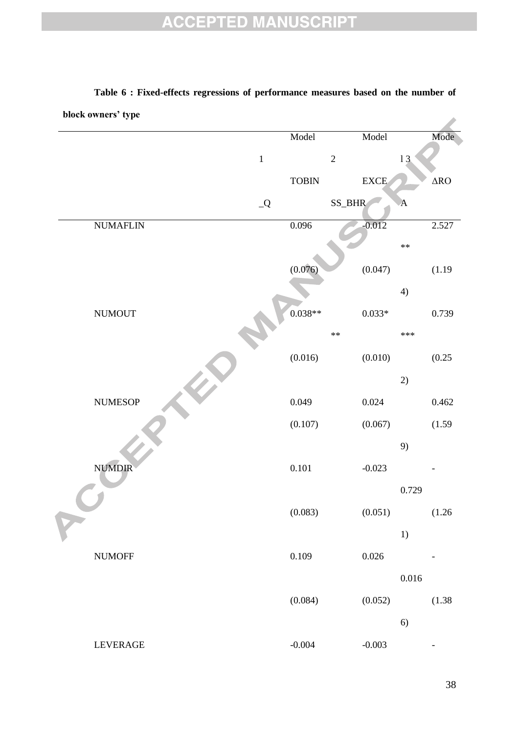| block owners' type |               |              |            |                |              |                    |
|--------------------|---------------|--------------|------------|----------------|--------------|--------------------|
|                    |               | Model        |            | Model          |              | Mode               |
|                    | $\,1$         |              | $\sqrt{2}$ |                | 13           |                    |
|                    |               | <b>TOBIN</b> |            | ${\rm EXCE}$   |              | $\Delta \text{RO}$ |
|                    | $\mathcal{Q}$ |              | SS_BHR     |                | $\mathbf{A}$ |                    |
| <b>NUMAFLIN</b>    |               | 0.096        |            | $-0.012$       |              | 2.527              |
|                    |               |              |            |                | $**$         |                    |
|                    |               | (0.076)      |            | (0.047)        |              | (1.19)             |
|                    |               |              |            |                | 4)           |                    |
| $\hbox{NUMOUT}$    |               | $0.038**$    |            | $0.033^{\ast}$ |              | 0.739              |
|                    |               |              | $\ast\ast$ |                | $***$        |                    |
|                    |               | (0.016)      |            | (0.010)        |              | (0.25)             |
|                    |               |              |            |                | 2)           |                    |
| <b>NUMESOP</b>     |               | 0.049        |            | 0.024          |              | 0.462              |
|                    |               | (0.107)      |            | (0.067)        |              | (1.59)             |
|                    |               |              |            |                | 9)           |                    |
| <b>NUMDIR</b>      |               | $0.101\,$    |            | $-0.023$       |              |                    |
|                    |               |              |            |                | 0.729        |                    |
|                    |               | (0.083)      |            | (0.051)        |              | (1.26)             |
|                    |               |              |            |                | 1)           |                    |
| <b>NUMOFF</b>      |               | 0.109        |            | $0.026\,$      |              |                    |
|                    |               |              |            |                | $0.016\,$    |                    |
|                    |               | (0.084)      |            | (0.052)        |              | (1.38)             |
|                    |               |              |            |                | 6)           |                    |
| LEVERAGE           |               | $-0.004$     |            | $-0.003$       |              |                    |

# **Table 6 : Fixed-effects regressions of performance measures based on the number of**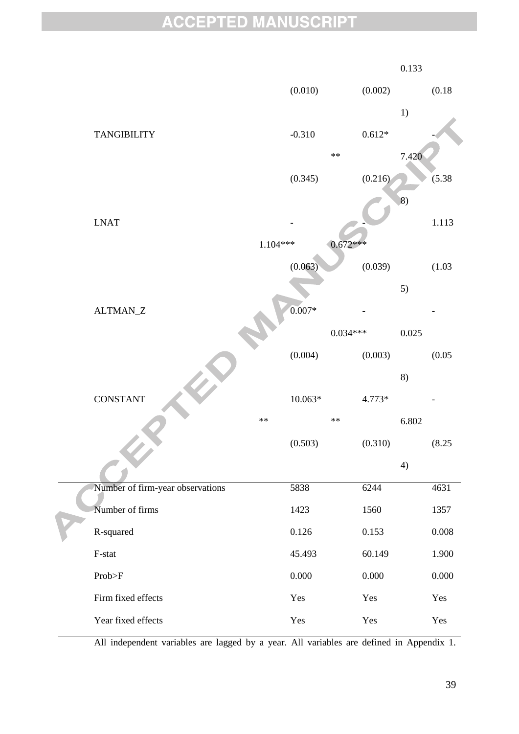|                                   |           |                   | 0.133            |           |
|-----------------------------------|-----------|-------------------|------------------|-----------|
|                                   | (0.010)   | (0.002)           |                  | (0.18)    |
|                                   |           |                   | 1)               |           |
| <b>TANGIBILITY</b>                | $-0.310$  | $0.612\mathrm{*}$ |                  |           |
|                                   |           | $**$              | 7.420            |           |
|                                   | (0.345)   | (0.216)           |                  | (5.38)    |
|                                   |           |                   | $\left 8\right)$ |           |
| $\ensuremath{\text{L}NAT}\xspace$ |           |                   |                  | 1.113     |
| 1.104***                          |           | $0.672***$        |                  |           |
|                                   | (0.063)   | (0.039)           |                  | (1.03)    |
|                                   |           |                   | 5)               |           |
| ALTMAN_Z                          | $0.007*$  |                   |                  |           |
|                                   |           | $0.034***$        | 0.025            |           |
|                                   | (0.004)   | (0.003)           |                  | (0.05)    |
|                                   |           |                   | 8)               |           |
| <b>CONSTANT</b>                   | $10.063*$ | 4.773*            |                  |           |
| $**$                              |           | $**$              | 6.802            |           |
|                                   | (0.503)   | (0.310)           |                  | (8.25)    |
|                                   |           |                   | 4)               |           |
| Number of firm-year observations  | 5838      | 6244              |                  | 4631      |
| Number of firms                   | 1423      | 1560              |                  | 1357      |
| R-squared                         | 0.126     | 0.153             |                  | $0.008\,$ |
| F-stat                            | 45.493    | 60.149            |                  | 1.900     |
| Prob>F                            | 0.000     | 0.000             |                  | 0.000     |
| Firm fixed effects                | Yes       | Yes               |                  | Yes       |
| Year fixed effects                | Yes       | Yes               |                  | Yes       |

All independent variables are lagged by a year. All variables are defined in Appendix 1.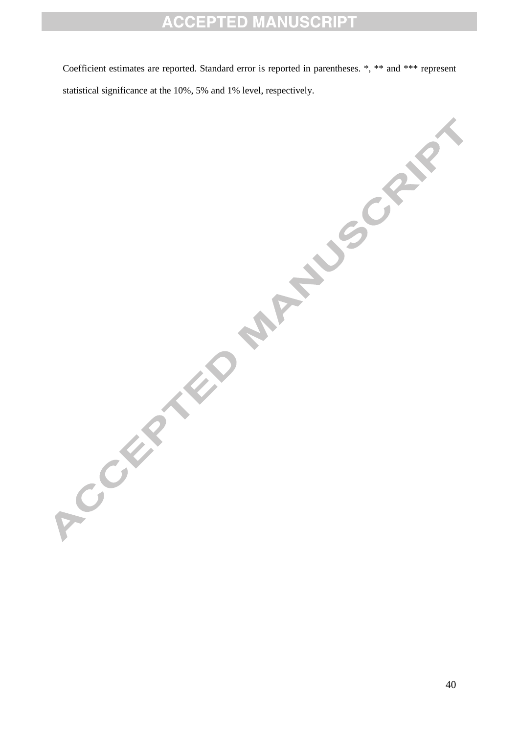Coefficient estimates are reported. Standard error is reported in parentheses. \*, \*\* and \*\*\* represent statistical significance at the 10%, 5% and 1% level, respectively.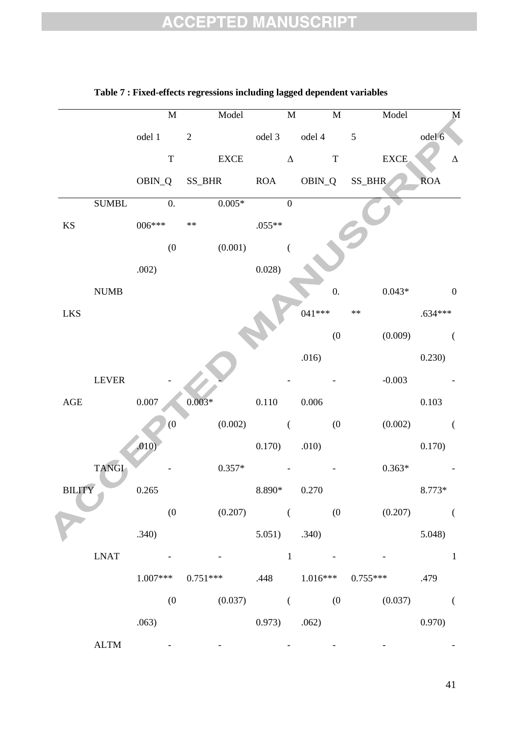|                        |               |           | $\overline{M}$ |                     | Model                           |                | M              |                            | $\overline{M}$   |            | Model       |            | $\overline{\mathbf{M}}$ |
|------------------------|---------------|-----------|----------------|---------------------|---------------------------------|----------------|----------------|----------------------------|------------------|------------|-------------|------------|-------------------------|
|                        |               | odel 1 2  |                |                     |                                 |                |                | odel 3 odel 4 5            |                  |            |             | odel 6     |                         |
|                        |               |           | $\mathbf T$    |                     | <b>EXCE</b>                     |                |                | $\Delta$ T                 |                  |            | <b>EXCE</b> |            | $\Delta$                |
|                        |               |           |                |                     | OBIN_Q SS_BHR ROA OBIN_Q SS_BHR |                |                |                            |                  |            |             | <b>ROA</b> |                         |
|                        | <b>SUMBL</b>  |           | $\theta$ .     |                     | $0.005*$                        |                | $\overline{0}$ |                            |                  |            |             |            |                         |
| $\mathbf{K}\mathbf{S}$ |               | $006***$  |                | $\ast\ast$          |                                 | $.055**$       |                |                            |                  |            |             |            |                         |
|                        |               |           | (0)            |                     | (0.001)                         |                | $\overline{ }$ |                            |                  |            |             |            |                         |
|                        |               | .002)     |                |                     |                                 | 0.028)         |                |                            |                  |            |             |            |                         |
|                        | <b>NUMB</b>   |           |                |                     |                                 |                |                |                            | $\overline{0}$ . |            | $0.043*$    |            | $\boldsymbol{0}$        |
| <b>LKS</b>             |               |           |                |                     |                                 |                |                | $041***$                   |                  | $\ast\ast$ |             | $.634***$  |                         |
|                        |               |           |                |                     |                                 |                |                |                            | (0)              |            | (0.009)     |            | $\left($                |
|                        |               |           |                |                     |                                 |                |                | .016)                      |                  |            |             | 0.230)     |                         |
|                        | <b>LEVER</b>  |           |                |                     |                                 |                |                |                            |                  |            | $-0.003$    |            |                         |
| $\mathbf{AGE}$         |               | $0.007\,$ |                | $0.003*$            |                                 | 0.110          |                | 0.006                      |                  |            |             | 0.103      |                         |
|                        |               |           | (0)            |                     | (0.002)                         | $\overline{a}$ |                |                            | (0)              |            | (0.002)     |            | $\left($                |
|                        |               | .010)     |                |                     |                                 | $0.170)$ .010) |                |                            |                  |            |             | 0.170)     |                         |
|                        | <b>TANGI</b>  |           |                |                     | $0.357*$                        |                |                |                            |                  |            | $0.363*$    |            |                         |
| <b>BILITY</b>          |               | 0.265     |                |                     |                                 | 8.890*         |                | 0.270                      |                  |            |             | 8.773*     |                         |
|                        |               |           | (0)            |                     | (0.207)                         |                | $\left($       |                            | (0)              |            | (0.207)     |            | $\left($                |
|                        |               | .340)     |                |                     |                                 |                |                | $5.051$ $.340$             |                  |            |             | 5.048)     |                         |
|                        | <b>LNAT</b>   |           |                |                     |                                 |                | $\mathbf{1}$   |                            |                  |            |             |            | $\mathbf{1}$            |
|                        |               |           |                | $1.007***$ 0.751*** |                                 |                |                | .448 $1.016***$ $0.755***$ |                  |            |             | .479       |                         |
|                        |               |           | (0)            |                     | $(0.037)$ (                     |                |                | (0)                        |                  |            | (0.037)     |            | $\left($                |
|                        |               | .063)     |                |                     |                                 | 0.973)         |                | .062)                      |                  |            |             | 0.970)     |                         |
|                        | $\text{ALTM}$ |           |                |                     |                                 |                |                |                            |                  |            |             |            |                         |

#### **Table 7 : Fixed-effects regressions including lagged dependent variables**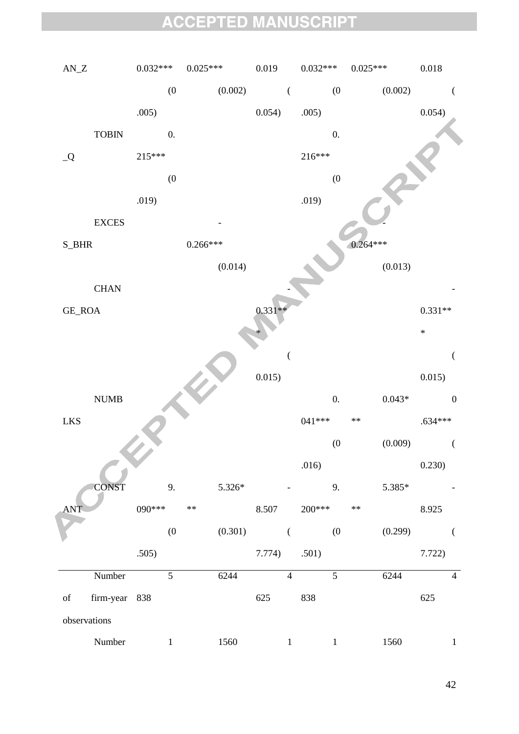| $\mathbf{AN\_Z}$ |                              | $0.032***$ |                  | $0.025***$ |         | 0.019          |                | $0.032***$ |                    | $0.025***$ |                | $0.018\,$ |                              |
|------------------|------------------------------|------------|------------------|------------|---------|----------------|----------------|------------|--------------------|------------|----------------|-----------|------------------------------|
|                  |                              |            | (0)              |            | (0.002) | $\overline{a}$ |                |            | (0)                |            | (0.002)        |           | $\left($                     |
|                  |                              | .005)      |                  |            |         | 0.054)         |                | .005)      |                    |            |                | 0.054)    |                              |
|                  | ${\bf TOBIN}$                |            | 0.               |            |         |                |                |            | $0.$               |            |                |           |                              |
| $\mathcal{Q}_-$  |                              | 215***     |                  |            |         |                |                | 216***     |                    |            |                |           |                              |
|                  |                              |            | $\boldsymbol{0}$ |            |         |                |                |            | (0)                |            |                |           |                              |
|                  |                              | .019)      |                  |            |         |                |                | .019)      |                    |            |                |           |                              |
|                  | <b>EXCES</b>                 |            |                  |            |         |                |                |            |                    |            |                |           |                              |
| $S$ _BHR         |                              |            |                  | $0.266***$ |         |                |                |            |                    | $0.264***$ |                |           |                              |
|                  |                              |            |                  |            | (0.014) |                |                |            |                    |            | (0.013)        |           |                              |
|                  | $\rm CHAN$                   |            |                  |            |         |                |                |            |                    |            |                |           |                              |
| GE_ROA           |                              |            |                  |            |         | $0.331**$      |                |            |                    |            |                | $0.331**$ |                              |
|                  |                              |            |                  |            |         |                |                |            |                    |            |                | $\ast$    |                              |
|                  |                              |            |                  |            |         |                | $\overline{(}$ |            |                    |            |                |           | $\overline{\left( \right. }$ |
|                  |                              |            |                  |            |         | 0.015)         |                |            |                    |            |                | 0.015)    |                              |
|                  | $\ensuremath{\mathrm{NUMB}}$ |            |                  |            |         |                |                |            | 0.                 |            | $0.043^{\ast}$ |           | $\boldsymbol{0}$             |
| ${\rm LKS}$      |                              |            |                  |            |         |                |                | 041 ***    |                    | $**$       |                | $.634***$ |                              |
|                  |                              |            |                  |            |         |                |                |            | $\left( 0 \right)$ |            | (0.009)        |           |                              |
|                  |                              |            |                  |            |         |                |                | .016)      |                    |            |                | 0.230)    |                              |
|                  | <b>CONST</b>                 |            | 9.               |            | 5.326*  |                |                |            | 9.                 |            | 5.385*         |           |                              |
| <b>ANT</b>       |                              | $090***$   |                  | $\ast\ast$ |         | 8.507          |                | $200***$   |                    | $\ast\ast$ |                | 8.925     |                              |
|                  |                              |            | (0)              |            | (0.301) |                | $\left($       |            | (0)                |            | (0.299)        |           |                              |
|                  |                              | .505)      |                  |            |         | 7.774)         |                | .501)      |                    |            |                | 7.722)    |                              |
|                  | Number                       |            | 5                |            | 6244    |                | $\overline{4}$ |            | $\overline{5}$     |            | 6244           |           | $\overline{4}$               |
| $\sigma f$       | firm-year                    | 838        |                  |            |         | 625            |                | 838        |                    |            |                | 625       |                              |
|                  | observations                 |            |                  |            |         |                |                |            |                    |            |                |           |                              |
|                  | Number                       |            | $\mathbf{1}$     |            | 1560    |                | $\mathbf{1}$   |            | $\mathbf{1}$       |            | 1560           |           | $\mathbf{1}$                 |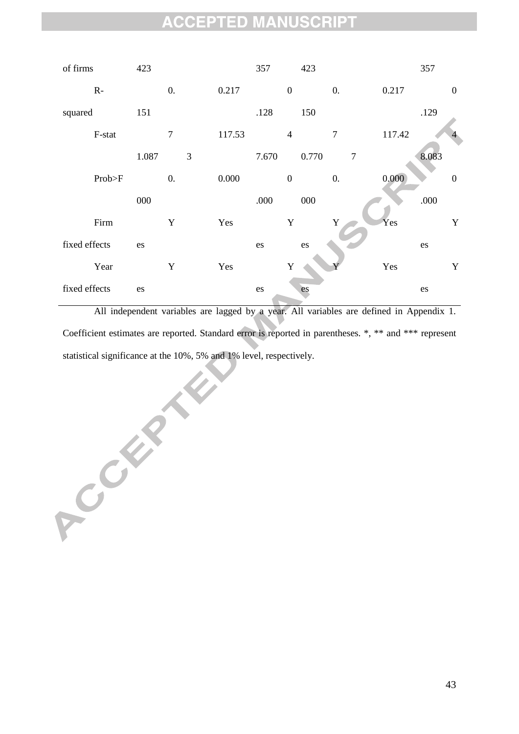

All independent variables are lagged by a year. All variables are defined in Appendix 1. Coefficient estimates are reported. Standard error is reported in parentheses. \*, \*\* and \*\*\* represent statistical significance at the 10%, 5% and 1% level, respectively.

ACCEPTER A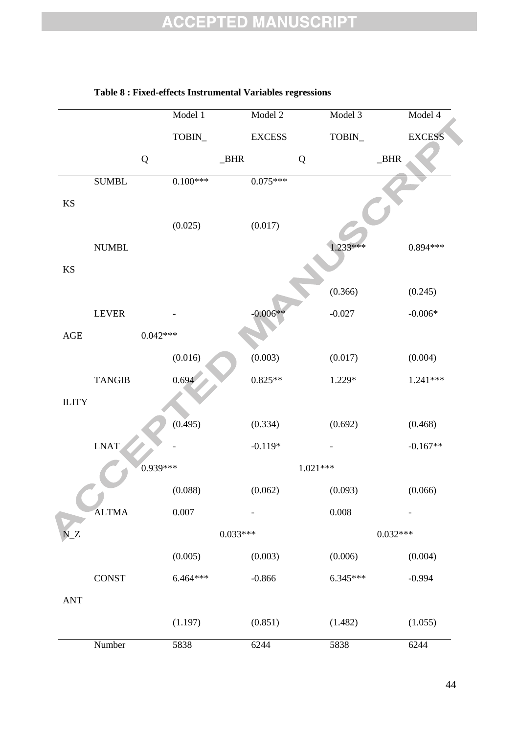|                        |                               | Model 1          | Model 2       | Model 3          | Model 4       |
|------------------------|-------------------------------|------------------|---------------|------------------|---------------|
|                        |                               | $\mbox{TOBIN}_-$ | <b>EXCESS</b> | $\mbox{TOBIN}_-$ | <b>EXCESS</b> |
|                        | ${\bf Q}$                     |                  | $-BHR$<br>Q   |                  | $\_BHR$       |
|                        | <b>SUMBL</b>                  | $0.100***$       | $0.075***$    |                  |               |
| $\mathbf{K}\mathbf{S}$ |                               |                  |               |                  |               |
|                        |                               | (0.025)          | (0.017)       |                  |               |
|                        | $\ensuremath{\mathsf{NUMBL}}$ |                  |               | $1.233***$       | $0.894***$    |
| $\mathop{\mathrm{KS}}$ |                               |                  |               |                  |               |
|                        |                               |                  |               | (0.366)          | (0.245)       |
|                        | <b>LEVER</b>                  |                  | $-0.006**$    | $-0.027$         | $-0.006*$     |
| $\mathbf{AGE}$         |                               | $0.042***$       |               |                  |               |
|                        |                               | (0.016)          | (0.003)       | (0.017)          | (0.004)       |
|                        | <b>TANGIB</b>                 | 0.694            | $0.825**$     | 1.229*           | $1.241***$    |
| <b>ILITY</b>           |                               |                  |               |                  |               |
|                        |                               | (0.495)          | (0.334)       | (0.692)          | (0.468)       |
|                        | <b>LNAT</b>                   |                  | $-0.119*$     |                  | $-0.167**$    |
|                        |                               | 0.939***         |               | 1.021***         |               |
|                        |                               | (0.088)          | (0.062)       | (0.093)          | (0.066)       |
|                        | <b>ALTMA</b>                  | $0.007\,$        |               | $0.008\,$        |               |
| $N_Z$                  |                               |                  | $0.033***$    |                  | $0.032***$    |
|                        |                               | (0.005)          | (0.003)       | (0.006)          | (0.004)       |
|                        | <b>CONST</b>                  | $6.464***$       | $-0.866$      | $6.345***$       | $-0.994$      |
| <b>ANT</b>             |                               |                  |               |                  |               |
|                        |                               | (1.197)          | (0.851)       | (1.482)          | (1.055)       |
|                        | Number                        | 5838             | 6244          | 5838             | 6244          |

#### **Table 8 : Fixed-effects Instrumental Variables regressions**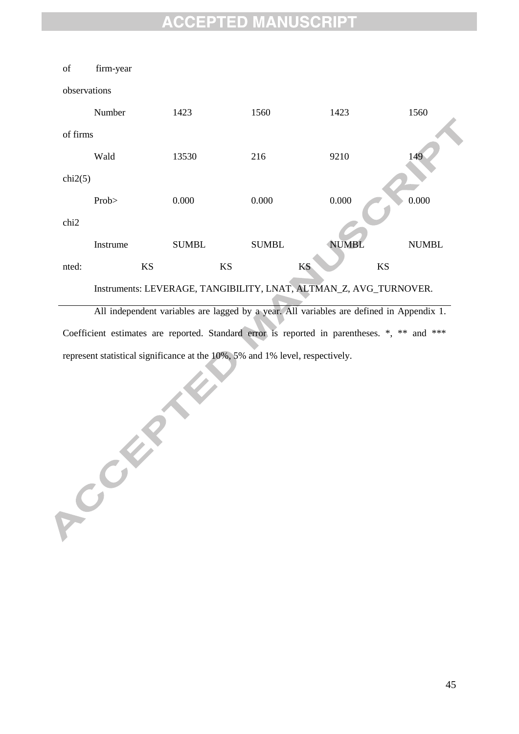

All independent variables are lagged by a year. All variables are defined in Appendix 1. Coefficient estimates are reported. Standard error is reported in parentheses. \*, \*\* and \*\*\* represent statistical significance at the 10%, 5% and 1% level, respectively.

ACCEPTE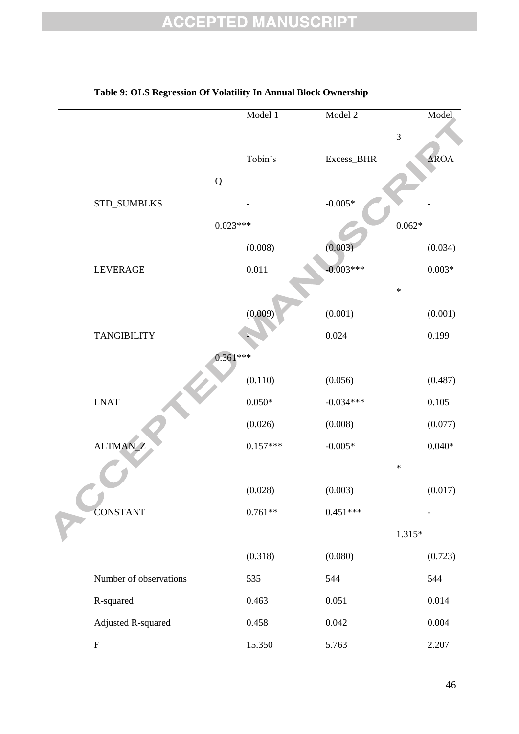|                        | Model 1    | Model 2     | Model               |
|------------------------|------------|-------------|---------------------|
|                        |            |             | $\overline{3}$      |
|                        | Tobin's    | Excess_BHR  | $\Delta \text{ROA}$ |
|                        | ${\bf Q}$  |             |                     |
| STD_SUMBLKS            |            | $-0.005*$   |                     |
|                        | $0.023***$ |             | $0.062\,^*$         |
|                        | (0.008)    | (0.003)     | (0.034)             |
| <b>LEVERAGE</b>        | 0.011      | $-0.003***$ | $0.003\,^*$         |
|                        |            |             | $\ast$              |
|                        | (0.009)    | (0.001)     | (0.001)             |
| <b>TANGIBILITY</b>     |            | 0.024       | 0.199               |
|                        | $0.361***$ |             |                     |
|                        | (0.110)    | (0.056)     | (0.487)             |
| <b>LNAT</b>            | $0.050*$   | $-0.034***$ | 0.105               |
|                        | (0.026)    | (0.008)     | (0.077)             |
| ALTMAN_Z               | $0.157***$ | $-0.005*$   | $0.040*$            |
|                        |            |             | $\ast$              |
|                        | (0.028)    | (0.003)     | (0.017)             |
| <b>CONSTANT</b>        | $0.761**$  | $0.451***$  |                     |
|                        |            |             | $1.315*$            |
|                        | (0.318)    | (0.080)     | (0.723)             |
| Number of observations | 535        | 544         | 544                 |
| R-squared              | 0.463      | 0.051       | 0.014               |
| Adjusted R-squared     | 0.458      | 0.042       | 0.004               |
| ${\bf F}$              | 15.350     | 5.763       | 2.207               |

#### **Table 9: OLS Regression Of Volatility In Annual Block Ownership**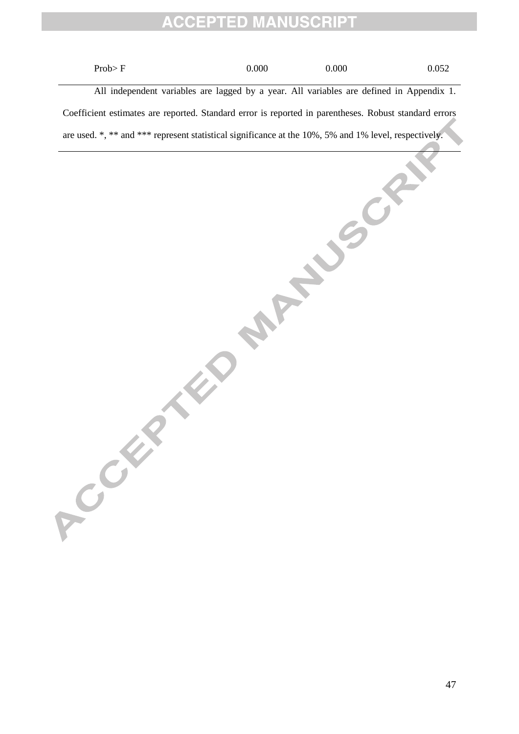$\text{Prob} > F$  0.000 0.000 0.052 All independent variables are lagged by a year. All variables are defined in Appendix 1. Coefficient estimates are reported. Standard error is reported in parentheses. Robust standard errors are used. \*, \*\* and \*\*\* represent statistical significance at the 10%, 5% and 1% level, respectively.<br>
and the local control of the local control of the local control of the local control of the local control of the local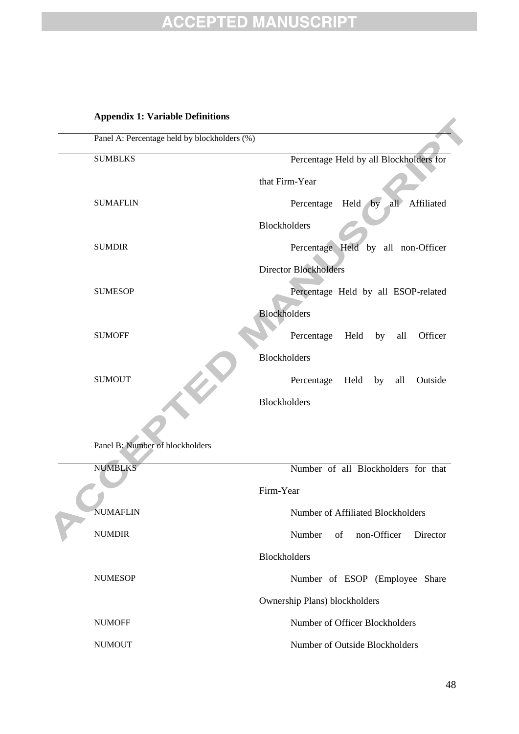#### **Appendix 1: Variable Definitions**

| Panel A: Percentage held by blockholders (%) |                                               |
|----------------------------------------------|-----------------------------------------------|
| <b>SUMBLKS</b>                               | Percentage Held by all Blockholders for       |
|                                              | that Firm-Year                                |
| <b>SUMAFLIN</b>                              | by<br>all<br>Held<br>Affiliated<br>Percentage |
|                                              | Blockholders                                  |
| <b>SUMDIR</b>                                | Percentage Held by all non-Officer            |
|                                              | <b>Director Blockholders</b>                  |
| <b>SUMESOP</b>                               | Percentage Held by all ESOP-related           |
|                                              | <b>Blockholders</b>                           |
| <b>SUMOFF</b>                                | Percentage<br>Held<br>Officer<br>by<br>all    |
|                                              | Blockholders                                  |
| <b>SUMOUT</b>                                | Percentage<br>Held<br>Outside<br>by<br>all    |
|                                              | <b>Blockholders</b>                           |

Panel B: Number of blockholders

**Carl Street** 

|  | <b>NUMBLKS</b>  | Number of all Blockholders for that     |  |  |  |  |  |
|--|-----------------|-----------------------------------------|--|--|--|--|--|
|  |                 | Firm-Year                               |  |  |  |  |  |
|  | <b>NUMAFLIN</b> | Number of Affiliated Blockholders       |  |  |  |  |  |
|  | <b>NUMDIR</b>   | of<br>non-Officer<br>Number<br>Director |  |  |  |  |  |
|  |                 | <b>Blockholders</b>                     |  |  |  |  |  |
|  | <b>NUMESOP</b>  | Number of ESOP (Employee Share)         |  |  |  |  |  |
|  |                 | Ownership Plans) blockholders           |  |  |  |  |  |
|  | <b>NUMOFF</b>   | Number of Officer Blockholders          |  |  |  |  |  |
|  | <b>NUMOUT</b>   | Number of Outside Blockholders          |  |  |  |  |  |
|  |                 |                                         |  |  |  |  |  |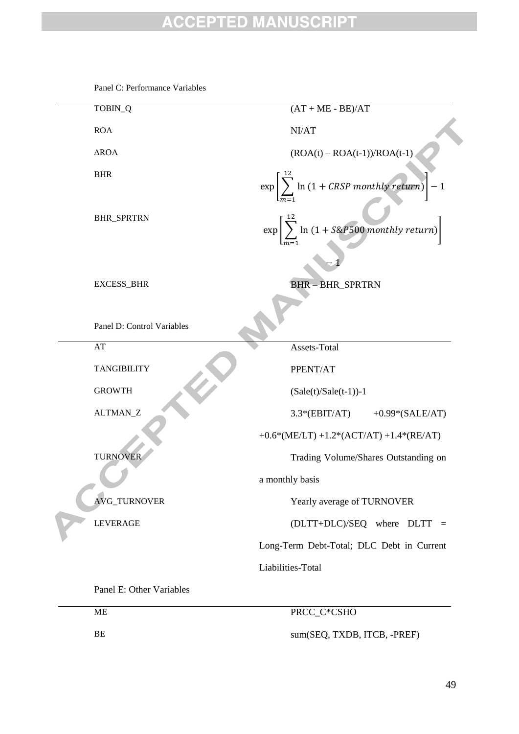| TOBIN_Q                    | $(AT + ME - BE)/AT$                                                       |
|----------------------------|---------------------------------------------------------------------------|
| <b>ROA</b>                 | NI/AT                                                                     |
| $\triangle$ ROA            | $(ROA(t) - ROA(t-1))/ROA(t-1)$                                            |
| <b>BHR</b>                 | $\exp\left[\sum_{n=1}^{\infty}\ln(1 + \text{CRSP monthly return})\right]$ |
| <b>BHR_SPRTRN</b>          | $\exp\left[\sum_{n=1}^{N} \ln(1 + \text{S\&P500 monthly return})\right]$  |
| <b>EXCESS_BHR</b>          | <b>BHR-BHR_SPRTRN</b>                                                     |
| Panel D: Control Variables |                                                                           |
| AT                         | Assets-Total                                                              |
| <b>TANGIBILITY</b>         | PPENT/AT                                                                  |
| <b>GROWTH</b>              | $(Sale(t)/Sale(t-1))-1$                                                   |
| ALTMAN_Z                   | $3.3*(EBIT/AT)$<br>$+0.99*(SALE/AT)$                                      |
|                            | +0.6*(ME/LT) +1.2*(ACT/AT) +1.4*(RE/AT)                                   |
| <b>TURNOVER</b>            | Trading Volume/Shares Outstanding on                                      |
|                            | a monthly basis                                                           |
| <b>AVG_TURNOVER</b>        | Yearly average of TURNOVER                                                |
| <b>LEVERAGE</b>            | (DLTT+DLC)/SEQ where DLTT =                                               |
|                            | Long-Term Debt-Total; DLC Debt in Current                                 |
|                            | Liabilities-Total                                                         |
| Panel E: Other Variables   |                                                                           |
|                            |                                                                           |

Panel C: Performance Variables

ME PRCC\_C\*CSHO BE sum(SEQ, TXDB, ITCB, -PREF)